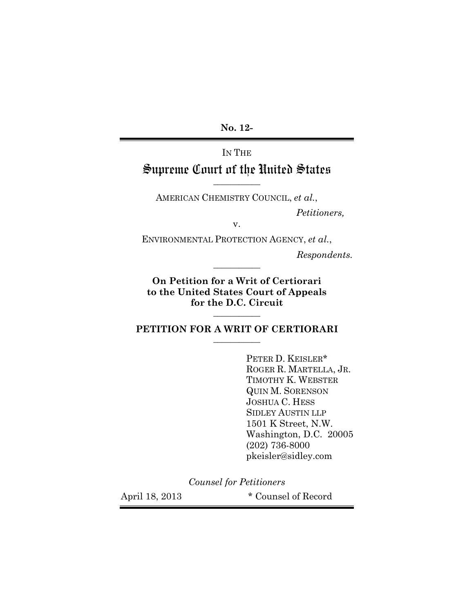**No. 12-**

# IN THE Supreme Court of the United States

AMERICAN CHEMISTRY COUNCIL, *et al.*,

**\_\_\_\_\_\_\_\_\_\_\_**

*Petitioners,*

v.

ENVIRONMENTAL PROTECTION AGENCY, *et al.*,

**\_\_\_\_\_\_\_\_\_\_\_**

*Respondents.*

**On Petition for a Writ of Certiorari to the United States Court of Appeals for the D.C. Circuit**

**PETITION FOR A WRIT OF CERTIORARI \_\_\_\_\_\_\_\_\_\_\_**

**\_\_\_\_\_\_\_\_\_\_\_**

PETER D. KEISLER\* ROGER R. MARTELLA, JR. TIMOTHY K. WEBSTER QUIN M. SORENSON JOSHUA C. HESS SIDLEY AUSTIN LLP 1501 K Street, N.W. Washington, D.C. 20005 (202) 736-8000 pkeisler@sidley.com

*Counsel for Petitioners*

April 18, 2013 \* Counsel of Record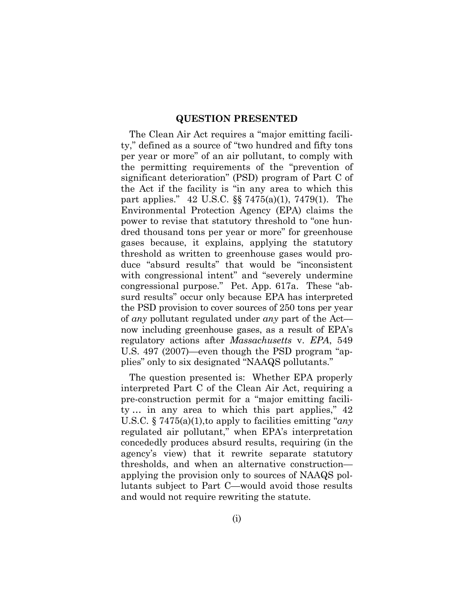#### **QUESTION PRESENTED**

The Clean Air Act requires a "major emitting facility," defined as a source of "two hundred and fifty tons per year or more" of an air pollutant, to comply with the permitting requirements of the "prevention of significant deterioration" (PSD) program of Part C of the Act if the facility is "in any area to which this part applies." 42 U.S.C. §§ 7475(a)(1), 7479(1). The Environmental Protection Agency (EPA) claims the power to revise that statutory threshold to "one hundred thousand tons per year or more" for greenhouse gases because, it explains, applying the statutory threshold as written to greenhouse gases would produce "absurd results" that would be "inconsistent with congressional intent" and "severely undermine" congressional purpose." Pet. App. 617a. These "absurd results" occur only because EPA has interpreted the PSD provision to cover sources of 250 tons per year of *any* pollutant regulated under *any* part of the Act now including greenhouse gases, as a result of EPA's regulatory actions after *Massachusetts* v. *EPA*, 549 U.S. 497 (2007)—even though the PSD program "applies" only to six designated "NAAQS pollutants."

The question presented is: Whether EPA properly interpreted Part C of the Clean Air Act, requiring a pre-construction permit for a "major emitting facility … in any area to which this part applies," 42 U.S.C. § 7475(a)(1),to apply to facilities emitting "*any* regulated air pollutant," when EPA's interpretation concededly produces absurd results, requiring (in the agency's view) that it rewrite separate statutory thresholds, and when an alternative construction applying the provision only to sources of NAAQS pollutants subject to Part C—would avoid those results and would not require rewriting the statute.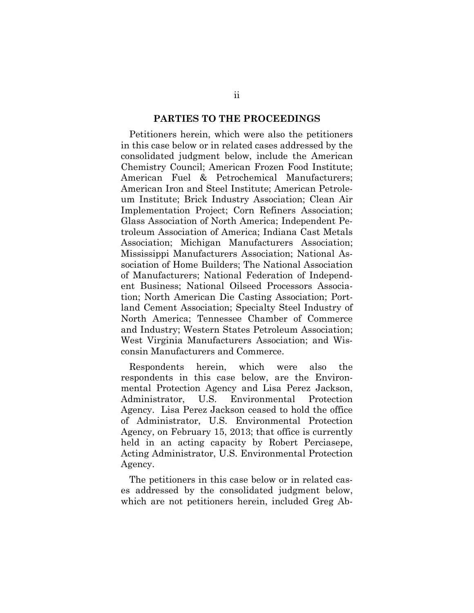#### **PARTIES TO THE PROCEEDINGS**

Petitioners herein, which were also the petitioners in this case below or in related cases addressed by the consolidated judgment below, include the American Chemistry Council; American Frozen Food Institute; American Fuel & Petrochemical Manufacturers; American Iron and Steel Institute; American Petroleum Institute; Brick Industry Association; Clean Air Implementation Project; Corn Refiners Association; Glass Association of North America; Independent Petroleum Association of America; Indiana Cast Metals Association; Michigan Manufacturers Association; Mississippi Manufacturers Association; National Association of Home Builders; The National Association of Manufacturers; National Federation of Independent Business; National Oilseed Processors Association; North American Die Casting Association; Portland Cement Association; Specialty Steel Industry of North America; Tennessee Chamber of Commerce and Industry; Western States Petroleum Association; West Virginia Manufacturers Association; and Wisconsin Manufacturers and Commerce.

Respondents herein, which were also the respondents in this case below, are the Environmental Protection Agency and Lisa Perez Jackson, Administrator, U.S. Environmental Protection Agency. Lisa Perez Jackson ceased to hold the office of Administrator, U.S. Environmental Protection Agency, on February 15, 2013; that office is currently held in an acting capacity by Robert Perciasepe, Acting Administrator, U.S. Environmental Protection Agency.

The petitioners in this case below or in related cases addressed by the consolidated judgment below, which are not petitioners herein, included Greg Ab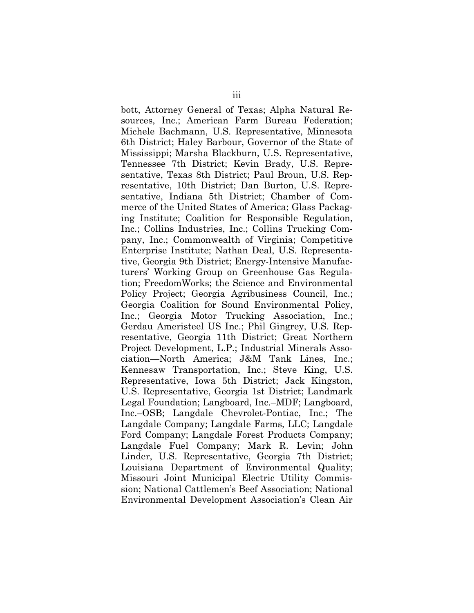bott, Attorney General of Texas; Alpha Natural Resources, Inc.; American Farm Bureau Federation; Michele Bachmann, U.S. Representative, Minnesota 6th District; Haley Barbour, Governor of the State of Mississippi; Marsha Blackburn, U.S. Representative, Tennessee 7th District; Kevin Brady, U.S. Representative, Texas 8th District; Paul Broun, U.S. Representative, 10th District; Dan Burton, U.S. Representative, Indiana 5th District; Chamber of Commerce of the United States of America; Glass Packaging Institute; Coalition for Responsible Regulation, Inc.; Collins Industries, Inc.; Collins Trucking Company, Inc.; Commonwealth of Virginia; Competitive Enterprise Institute; Nathan Deal, U.S. Representative, Georgia 9th District; Energy-Intensive Manufacturers' Working Group on Greenhouse Gas Regulation; FreedomWorks; the Science and Environmental Policy Project; Georgia Agribusiness Council, Inc.; Georgia Coalition for Sound Environmental Policy, Inc.; Georgia Motor Trucking Association, Inc.; Gerdau Ameristeel US Inc.; Phil Gingrey, U.S. Representative, Georgia 11th District; Great Northern Project Development, L.P.; Industrial Minerals Association—North America; J&M Tank Lines, Inc.; Kennesaw Transportation, Inc.; Steve King, U.S. Representative, Iowa 5th District; Jack Kingston, U.S. Representative, Georgia 1st District; Landmark Legal Foundation; Langboard, Inc.–MDF; Langboard, Inc.–OSB; Langdale Chevrolet-Pontiac, Inc.; The Langdale Company; Langdale Farms, LLC; Langdale Ford Company; Langdale Forest Products Company; Langdale Fuel Company; Mark R. Levin; John Linder, U.S. Representative, Georgia 7th District; Louisiana Department of Environmental Quality; Missouri Joint Municipal Electric Utility Commission; National Cattlemen's Beef Association; National Environmental Development Association's Clean Air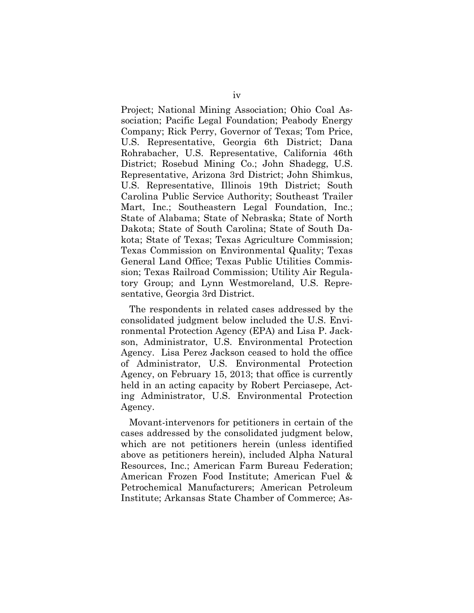Project; National Mining Association; Ohio Coal Association; Pacific Legal Foundation; Peabody Energy Company; Rick Perry, Governor of Texas; Tom Price, U.S. Representative, Georgia 6th District; Dana Rohrabacher, U.S. Representative, California 46th District; Rosebud Mining Co.; John Shadegg, U.S. Representative, Arizona 3rd District; John Shimkus, U.S. Representative, Illinois 19th District; South Carolina Public Service Authority; Southeast Trailer Mart, Inc.; Southeastern Legal Foundation, Inc.; State of Alabama; State of Nebraska; State of North Dakota; State of South Carolina; State of South Dakota; State of Texas; Texas Agriculture Commission; Texas Commission on Environmental Quality; Texas General Land Office; Texas Public Utilities Commission; Texas Railroad Commission; Utility Air Regulatory Group; and Lynn Westmoreland, U.S. Representative, Georgia 3rd District.

The respondents in related cases addressed by the consolidated judgment below included the U.S. Environmental Protection Agency (EPA) and Lisa P. Jackson, Administrator, U.S. Environmental Protection Agency. Lisa Perez Jackson ceased to hold the office of Administrator, U.S. Environmental Protection Agency, on February 15, 2013; that office is currently held in an acting capacity by Robert Perciasepe, Acting Administrator, U.S. Environmental Protection Agency.

Movant-intervenors for petitioners in certain of the cases addressed by the consolidated judgment below, which are not petitioners herein (unless identified above as petitioners herein), included Alpha Natural Resources, Inc.; American Farm Bureau Federation; American Frozen Food Institute; American Fuel & Petrochemical Manufacturers; American Petroleum Institute; Arkansas State Chamber of Commerce; As-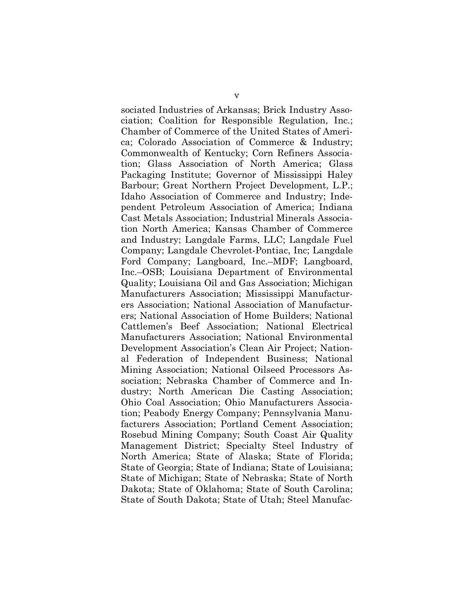sociated Industries of Arkansas; Brick Industry Association; Coalition for Responsible Regulation, Inc.; Chamber of Commerce of the United States of America; Colorado Association of Commerce & Industry; Commonwealth of Kentucky; Corn Refiners Association; Glass Association of North America; Glass Packaging Institute; Governor of Mississippi Haley Barbour; Great Northern Project Development, L.P.; Idaho Association of Commerce and Industry; Independent Petroleum Association of America; Indiana Cast Metals Association; Industrial Minerals Association North America; Kansas Chamber of Commerce and Industry; Langdale Farms, LLC; Langdale Fuel Company; Langdale Chevrolet-Pontiac, Inc; Langdale Ford Company; Langboard, Inc.–MDF; Langboard, Inc.–OSB; Louisiana Department of Environmental Quality; Louisiana Oil and Gas Association; Michigan Manufacturers Association; Mississippi Manufacturers Association; National Association of Manufacturers; National Association of Home Builders; National Cattlemen's Beef Association; National Electrical Manufacturers Association; National Environmental Development Association's Clean Air Project; National Federation of Independent Business; National Mining Association; National Oilseed Processors Association; Nebraska Chamber of Commerce and Industry; North American Die Casting Association; Ohio Coal Association; Ohio Manufacturers Association; Peabody Energy Company; Pennsylvania Manufacturers Association; Portland Cement Association; Rosebud Mining Company; South Coast Air Quality Management District; Specialty Steel Industry of North America; State of Alaska; State of Florida; State of Georgia; State of Indiana; State of Louisiana; State of Michigan; State of Nebraska; State of North Dakota; State of Oklahoma; State of South Carolina; State of South Dakota; State of Utah; Steel Manufac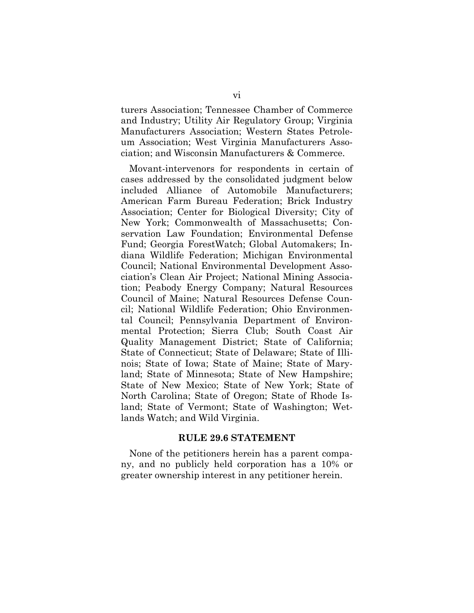turers Association; Tennessee Chamber of Commerce and Industry; Utility Air Regulatory Group; Virginia Manufacturers Association; Western States Petroleum Association; West Virginia Manufacturers Association; and Wisconsin Manufacturers & Commerce.

Movant-intervenors for respondents in certain of cases addressed by the consolidated judgment below included Alliance of Automobile Manufacturers; American Farm Bureau Federation; Brick Industry Association; Center for Biological Diversity; City of New York; Commonwealth of Massachusetts; Conservation Law Foundation; Environmental Defense Fund; Georgia ForestWatch; Global Automakers; Indiana Wildlife Federation; Michigan Environmental Council; National Environmental Development Association's Clean Air Project; National Mining Association; Peabody Energy Company; Natural Resources Council of Maine; Natural Resources Defense Council; National Wildlife Federation; Ohio Environmental Council; Pennsylvania Department of Environmental Protection; Sierra Club; South Coast Air Quality Management District; State of California; State of Connecticut; State of Delaware; State of Illinois; State of Iowa; State of Maine; State of Maryland; State of Minnesota; State of New Hampshire; State of New Mexico; State of New York; State of North Carolina; State of Oregon; State of Rhode Island; State of Vermont; State of Washington; Wetlands Watch; and Wild Virginia.

#### **RULE 29.6 STATEMENT**

None of the petitioners herein has a parent company, and no publicly held corporation has a 10% or greater ownership interest in any petitioner herein.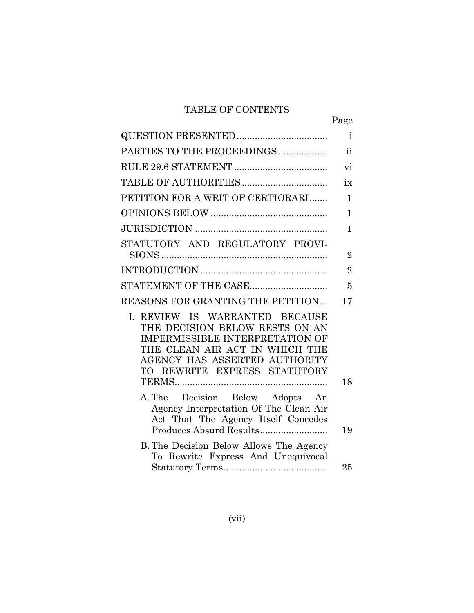## TABLE OF CONTENTS

|                                                                                                                                                                                                               | Page                |
|---------------------------------------------------------------------------------------------------------------------------------------------------------------------------------------------------------------|---------------------|
|                                                                                                                                                                                                               | $\mathbf{i}$        |
| PARTIES TO THE PROCEEDINGS                                                                                                                                                                                    | $\ddot{\textbf{i}}$ |
|                                                                                                                                                                                                               | vi                  |
|                                                                                                                                                                                                               | ix                  |
| PETITION FOR A WRIT OF CERTIORARI                                                                                                                                                                             | $\mathbf{1}$        |
|                                                                                                                                                                                                               | 1                   |
|                                                                                                                                                                                                               | 1                   |
| STATUTORY AND REGULATORY PROVI-                                                                                                                                                                               |                     |
|                                                                                                                                                                                                               | $\overline{2}$      |
|                                                                                                                                                                                                               | $\overline{2}$      |
| STATEMENT OF THE CASE                                                                                                                                                                                         | 5                   |
| REASONS FOR GRANTING THE PETITION                                                                                                                                                                             | 17                  |
| I. REVIEW IS WARRANTED BECAUSE<br>THE DECISION BELOW RESTS ON AN<br><b>IMPERMISSIBLE INTERPRETATION OF</b><br>THE CLEAN AIR ACT IN WHICH THE<br>AGENCY HAS ASSERTED AUTHORITY<br>TO REWRITE EXPRESS STATUTORY |                     |
|                                                                                                                                                                                                               | 18                  |
| A. The Decision Below Adopts An<br>Agency Interpretation Of The Clean Air<br>Act That The Agency Itself Concedes                                                                                              | 19                  |
| B. The Decision Below Allows The Agency<br>To Rewrite Express And Unequivocal                                                                                                                                 |                     |
|                                                                                                                                                                                                               | $25\,$              |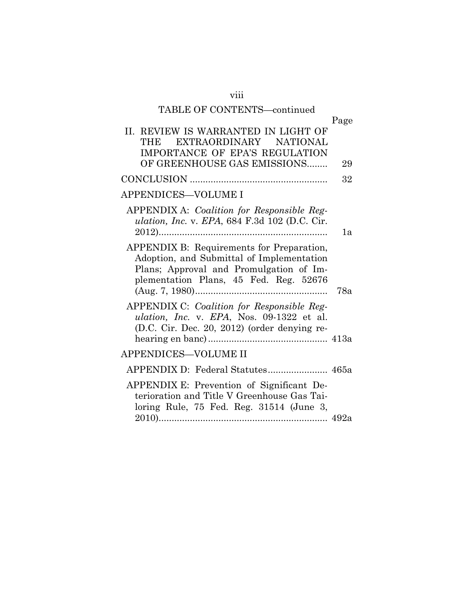| TABLE OF CONTENTS-continued                                                                                                                                                 |      |
|-----------------------------------------------------------------------------------------------------------------------------------------------------------------------------|------|
|                                                                                                                                                                             | Page |
| II. REVIEW IS WARRANTED IN LIGHT OF<br>EXTRAORDINARY NATIONAL<br>THE                                                                                                        |      |
| IMPORTANCE OF EPA'S REGULATION<br>OF GREENHOUSE GAS EMISSIONS                                                                                                               | 29   |
|                                                                                                                                                                             | 32   |
| APPENDICES-VOLUME I                                                                                                                                                         |      |
| APPENDIX A: Coalition for Responsible Reg-<br><i>ulation, Inc. v. EPA, 684 F.3d 102 (D.C. Cir.</i><br>$2012)$                                                               | 1a   |
| APPENDIX B: Requirements for Preparation,<br>Adoption, and Submittal of Implementation<br>Plans; Approval and Promulgation of Im-<br>plementation Plans, 45 Fed. Reg. 52676 | 78a  |
| APPENDIX C: Coalition for Responsible Reg-<br>ulation, Inc. v. EPA, Nos. 09-1322 et al.<br>(D.C. Cir. Dec. 20, 2012) (order denying re-                                     |      |
| APPENDICES—VOLUME II                                                                                                                                                        |      |
| APPENDIX D: Federal Statutes 465a                                                                                                                                           |      |
| APPENDIX E: Prevention of Significant De-<br>terioration and Title V Greenhouse Gas Tai-<br>loring Rule, 75 Fed. Reg. 31514 (June 3,                                        |      |
|                                                                                                                                                                             |      |

viii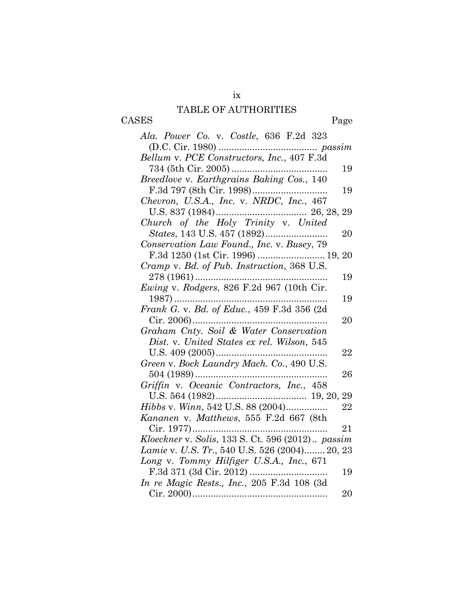## TABLE OF AUTHORITIES

CASES Page

| Ala. Power Co. v. Costle, 636 F.2d 323           |    |
|--------------------------------------------------|----|
|                                                  |    |
| Bellum v. PCE Constructors, Inc., 407 F.3d       |    |
|                                                  | 19 |
| Breedlove v. Earthgrains Baking Cos., 140        |    |
|                                                  | 19 |
| Chevron, U.S.A., Inc. v. NRDC, Inc., 467         |    |
|                                                  |    |
| Church of the Holy Trinity v. United             |    |
|                                                  | 20 |
| Conservation Law Found., Inc. v. Busey, 79       |    |
|                                                  |    |
| Cramp v. Bd. of Pub. Instruction, 368 U.S.       |    |
| $278(1961)$                                      | 19 |
| Ewing v. Rodgers, 826 F.2d 967 (10th Cir.        |    |
| $1987)$                                          | 19 |
| Frank G. v. Bd. of Educ., 459 F.3d 356 (2d       |    |
|                                                  | 20 |
| Graham Cnty. Soil & Water Conservation           |    |
| Dist. v. United States ex rel. Wilson, 545       |    |
| U.S. $409(2005)$                                 | 22 |
| Green v. Bock Laundry Mach. Co., 490 U.S.        |    |
|                                                  | 26 |
| Griffin v. Oceanic Contractors, Inc., 458        |    |
|                                                  | 29 |
| Hibbs v. Winn, 542 U.S. 88 (2004)                | 22 |
| Kananen v. Matthews, 555 F.2d 667 (8th           |    |
| $Cir. 1977)$                                     | 21 |
| Kloeckner v. Solis, 133 S. Ct. 596 (2012) passim |    |
| Lamie v. U.S. Tr., 540 U.S. 526 (2004) 20, 23    |    |
| Long v. Tommy Hilfiger U.S.A., Inc., 671         |    |
|                                                  | 19 |
| In re Magic Rests., Inc., 205 F.3d 108 (3d       |    |
|                                                  | 20 |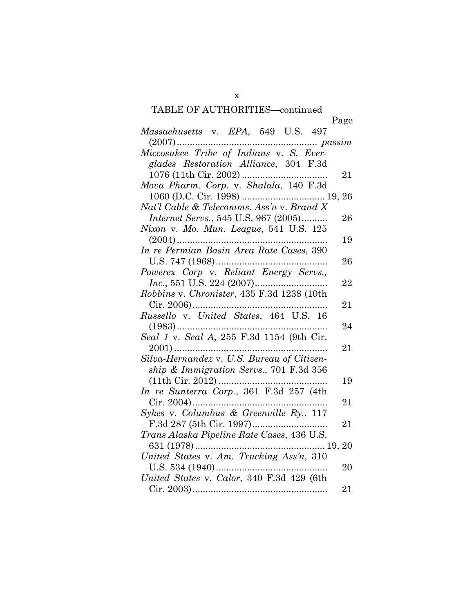# TABLE OF AUTHORITIES—continued

|                                              | Page     |
|----------------------------------------------|----------|
| Massachusetts v. EPA, 549 U.S. 497           |          |
| passim                                       |          |
|                                              |          |
| glades Restoration Alliance, 304 F.3d        |          |
|                                              | 21       |
| Mova Pharm. Corp. v. Shalala, 140 F.3d       |          |
|                                              |          |
| Nat'l Cable & Telecomms. Ass'n v. Brand X    |          |
| <i>Internet Servs.</i> , 545 U.S. 967 (2005) | 26       |
| Nixon v. Mo. Mun. League, 541 U.S. 125       |          |
| $(2004)$                                     | 19       |
| In re Permian Basin Area Rate Cases, 390     |          |
|                                              | 26       |
| Powerex Corp v. Reliant Energy Servs.,       |          |
|                                              | 22       |
| Robbins v. Chronister, 435 F.3d 1238 (10th   |          |
|                                              | 21       |
| Russello v. United States, 464 U.S. 16       |          |
|                                              | 24       |
| Seal 1 v. Seal A, 255 F.3d 1154 (9th Cir.    |          |
|                                              | 21       |
| Silva-Hernandez v. U.S. Bureau of Citizen-   |          |
| ship & Immigration Servs., 701 F.3d 356      |          |
|                                              | 19       |
| In re Sunterra Corp., 361 F.3d 257 (4th      |          |
|                                              | 21       |
| Sykes v. Columbus & Greenville Ry., 117      |          |
|                                              | $\rm 21$ |
| Trans Alaska Pipeline Rate Cases, 436 U.S.   |          |
|                                              |          |
| United States v. Am. Trucking Ass'n, 310     |          |
|                                              | 20       |
| United States v. Calor, 340 F.3d 429 (6th    |          |
|                                              | 21       |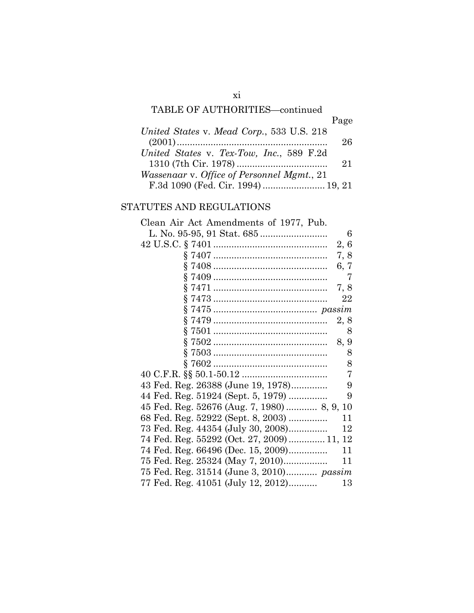## TABLE OF AUTHORITIES—continued

|                                            | Page |
|--------------------------------------------|------|
| United States v. Mead Corp., 533 U.S. 218  |      |
|                                            | 26   |
| United States v. Tex-Tow, Inc., 589 F.2d   |      |
|                                            | 21   |
| Wassenaar v. Office of Personnel Mgmt., 21 |      |
| F.3d 1090 (Fed. Cir. 1994)  19, 21         |      |

### STATUTES AND REGULATIONS

| Clean Air Act Amendments of 1977, Pub.     |
|--------------------------------------------|
| 6                                          |
| 2, 6                                       |
| 7, 8                                       |
| 6, 7                                       |
| 7                                          |
| 7, 8                                       |
| 22                                         |
|                                            |
|                                            |
| 2, 8                                       |
| 8                                          |
| 8, 9                                       |
| 8                                          |
| 8                                          |
| 7                                          |
| 43 Fed. Reg. 26388 (June 19, 1978)<br>9    |
| 44 Fed. Reg. 51924 (Sept. 5, 1979)<br>9    |
| 45 Fed. Reg. 52676 (Aug. 7, 1980) 8, 9, 10 |
| 68 Fed. Reg. 52922 (Sept. 8, 2003)<br>11   |
| 73 Fed. Reg. 44354 (July 30, 2008)<br>12   |
| 74 Fed. Reg. 55292 (Oct. 27, 2009)  11, 12 |
| 74 Fed. Reg. 66496 (Dec. 15, 2009)<br>11   |
| 75 Fed. Reg. 25324 (May 7, 2010)<br>11     |
| 75 Fed. Reg. 31514 (June 3, 2010) passim   |
|                                            |
| 77 Fed. Reg. 41051 (July 12, 2012)<br>13   |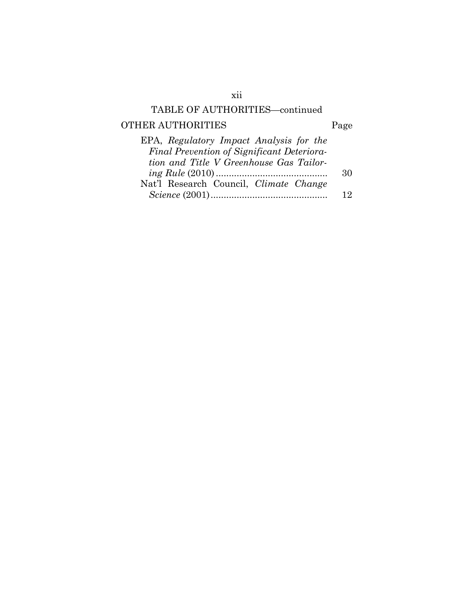## TABLE OF AUTHORITIES—continued

## OTHER AUTHORITIES Page

| EPA, Regulatory Impact Analysis for the    |     |
|--------------------------------------------|-----|
| Final Prevention of Significant Deteriora- |     |
| tion and Title V Greenhouse Gas Tailor-    |     |
|                                            | 30  |
| Nat'l Research Council, Climate Change     |     |
|                                            | י ו |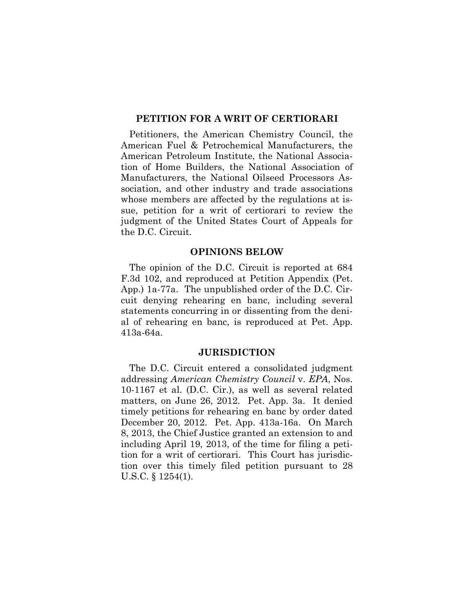#### **PETITION FOR A WRIT OF CERTIORARI**

Petitioners, the American Chemistry Council, the American Fuel & Petrochemical Manufacturers, the American Petroleum Institute, the National Association of Home Builders, the National Association of Manufacturers, the National Oilseed Processors Association, and other industry and trade associations whose members are affected by the regulations at issue, petition for a writ of certiorari to review the judgment of the United States Court of Appeals for the D.C. Circuit.

#### **OPINIONS BELOW**

The opinion of the D.C. Circuit is reported at 684 F.3d 102, and reproduced at Petition Appendix (Pet. App.) 1a-77a. The unpublished order of the D.C. Circuit denying rehearing en banc, including several statements concurring in or dissenting from the denial of rehearing en banc, is reproduced at Pet. App. 413a-64a.

#### **JURISDICTION**

The D.C. Circuit entered a consolidated judgment addressing *American Chemistry Council* v. *EPA*, Nos. 10-1167 et al. (D.C. Cir.), as well as several related matters, on June 26, 2012. Pet. App. 3a. It denied timely petitions for rehearing en banc by order dated December 20, 2012. Pet. App. 413a-16a. On March 8, 2013, the Chief Justice granted an extension to and including April 19, 2013, of the time for filing a petition for a writ of certiorari. This Court has jurisdiction over this timely filed petition pursuant to 28 U.S.C. § 1254(1).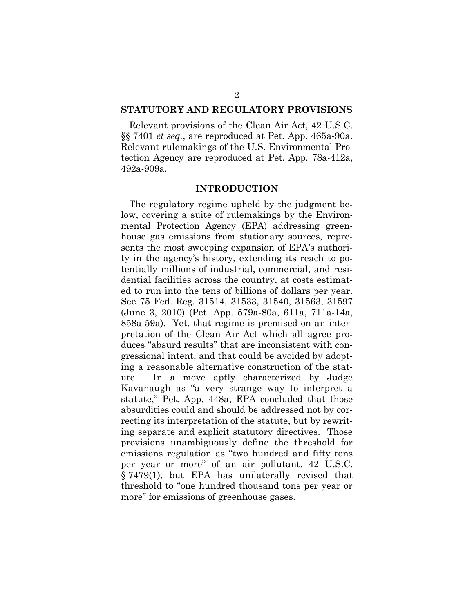#### **STATUTORY AND REGULATORY PROVISIONS**

Relevant provisions of the Clean Air Act, 42 U.S.C. §§ 7401 *et seq.*, are reproduced at Pet. App. 465a-90a. Relevant rulemakings of the U.S. Environmental Protection Agency are reproduced at Pet. App. 78a-412a, 492a-909a.

#### **INTRODUCTION**

The regulatory regime upheld by the judgment below, covering a suite of rulemakings by the Environmental Protection Agency (EPA) addressing greenhouse gas emissions from stationary sources, represents the most sweeping expansion of EPA's authority in the agency's history, extending its reach to potentially millions of industrial, commercial, and residential facilities across the country, at costs estimated to run into the tens of billions of dollars per year. See 75 Fed. Reg. 31514, 31533, 31540, 31563, 31597 (June 3, 2010) (Pet. App. 579a-80a, 611a, 711a-14a, 858a-59a). Yet, that regime is premised on an interpretation of the Clean Air Act which all agree produces "absurd results" that are inconsistent with congressional intent, and that could be avoided by adopting a reasonable alternative construction of the statute. In a move aptly characterized by Judge Kavanaugh as "a very strange way to interpret a statute," Pet. App. 448a, EPA concluded that those absurdities could and should be addressed not by correcting its interpretation of the statute, but by rewriting separate and explicit statutory directives. Those provisions unambiguously define the threshold for emissions regulation as "two hundred and fifty tons per year or more" of an air pollutant, 42 U.S.C. § 7479(1), but EPA has unilaterally revised that threshold to "one hundred thousand tons per year or more" for emissions of greenhouse gases.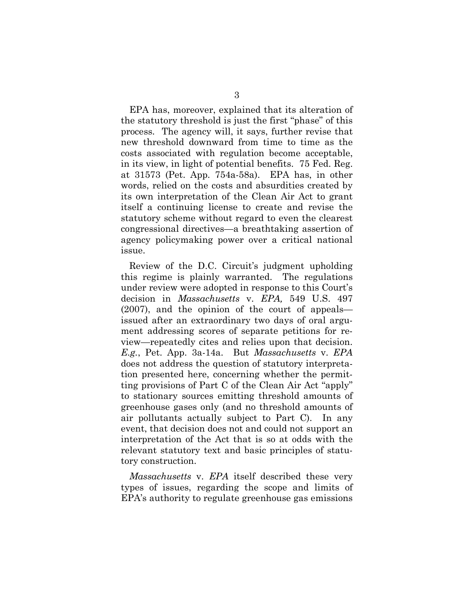EPA has, moreover, explained that its alteration of the statutory threshold is just the first "phase" of this process. The agency will, it says, further revise that new threshold downward from time to time as the costs associated with regulation become acceptable, in its view, in light of potential benefits. 75 Fed. Reg. at 31573 (Pet. App. 754a-58a). EPA has, in other words, relied on the costs and absurdities created by its own interpretation of the Clean Air Act to grant itself a continuing license to create and revise the statutory scheme without regard to even the clearest congressional directives—a breathtaking assertion of agency policymaking power over a critical national issue.

Review of the D.C. Circuit's judgment upholding this regime is plainly warranted. The regulations under review were adopted in response to this Court's decision in *Massachusetts* v. *EPA,* 549 U.S. 497 (2007), and the opinion of the court of appeals issued after an extraordinary two days of oral argument addressing scores of separate petitions for review—repeatedly cites and relies upon that decision. *E.g.*, Pet. App. 3a-14a. But *Massachusetts* v. *EPA* does not address the question of statutory interpretation presented here, concerning whether the permitting provisions of Part C of the Clean Air Act "apply" to stationary sources emitting threshold amounts of greenhouse gases only (and no threshold amounts of air pollutants actually subject to Part C). In any event, that decision does not and could not support an interpretation of the Act that is so at odds with the relevant statutory text and basic principles of statutory construction.

*Massachusetts* v. *EPA* itself described these very types of issues, regarding the scope and limits of EPA's authority to regulate greenhouse gas emissions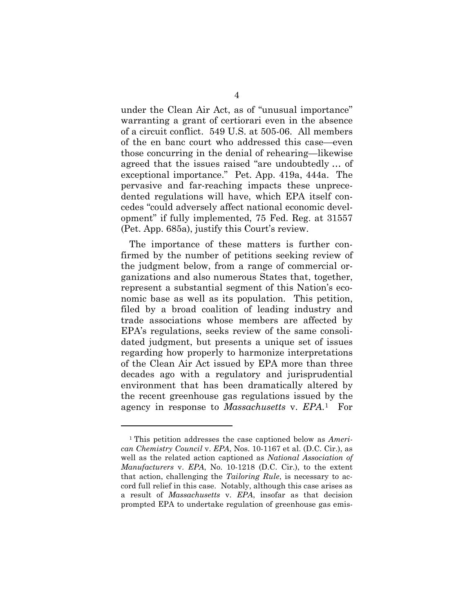under the Clean Air Act, as of "unusual importance" warranting a grant of certiorari even in the absence of a circuit conflict. 549 U.S. at 505-06. All members of the en banc court who addressed this case—even those concurring in the denial of rehearing—likewise agreed that the issues raised "are undoubtedly … of exceptional importance." Pet. App. 419a, 444a. The pervasive and far-reaching impacts these unprecedented regulations will have, which EPA itself concedes "could adversely affect national economic development" if fully implemented, 75 Fed. Reg. at 31557 (Pet. App. 685a), justify this Court's review.

The importance of these matters is further confirmed by the number of petitions seeking review of the judgment below, from a range of commercial organizations and also numerous States that, together, represent a substantial segment of this Nation's economic base as well as its population. This petition, filed by a broad coalition of leading industry and trade associations whose members are affected by EPA's regulations, seeks review of the same consolidated judgment, but presents a unique set of issues regarding how properly to harmonize interpretations of the Clean Air Act issued by EPA more than three decades ago with a regulatory and jurisprudential environment that has been dramatically altered by the recent greenhouse gas regulations issued by the agency in response to *Massachusetts* v. *EPA*.[1](#page-16-0) For

<span id="page-16-0"></span><sup>1</sup> This petition addresses the case captioned below as *American Chemistry Council* v. *EPA*, Nos. 10-1167 et al. (D.C. Cir.), as well as the related action captioned as *National Association of Manufacturers* v. *EPA*, No. 10-1218 (D.C. Cir.), to the extent that action, challenging the *Tailoring Rule*, is necessary to accord full relief in this case. Notably, although this case arises as a result of *Massachusetts* v. *EPA*, insofar as that decision prompted EPA to undertake regulation of greenhouse gas emis-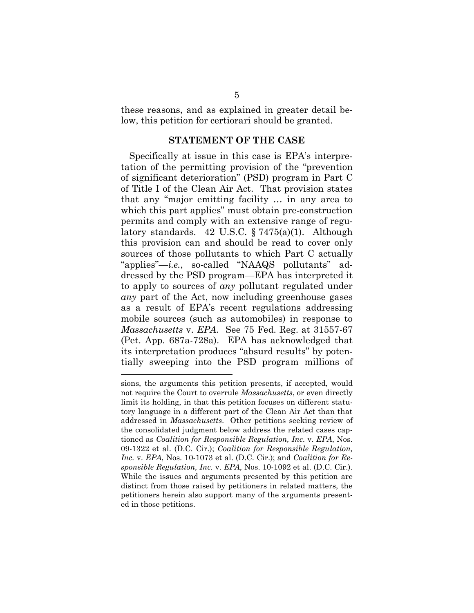these reasons, and as explained in greater detail below, this petition for certiorari should be granted.

#### **STATEMENT OF THE CASE**

Specifically at issue in this case is EPA's interpretation of the permitting provision of the "prevention of significant deterioration" (PSD) program in Part C of Title I of the Clean Air Act. That provision states that any "major emitting facility … in any area to which this part applies" must obtain pre-construction permits and comply with an extensive range of regulatory standards. 42 U.S.C. § 7475(a)(1). Although this provision can and should be read to cover only sources of those pollutants to which Part C actually "applies"—*i.e.*, so-called "NAAQS pollutants" addressed by the PSD program—EPA has interpreted it to apply to sources of *any* pollutant regulated under *any* part of the Act, now including greenhouse gases as a result of EPA's recent regulations addressing mobile sources (such as automobiles) in response to *Massachusetts* v. *EPA*. See 75 Fed. Reg. at 31557-67 (Pet. App. 687a-728a). EPA has acknowledged that its interpretation produces "absurd results" by potentially sweeping into the PSD program millions of

sions, the arguments this petition presents, if accepted, would not require the Court to overrule *Massachusetts*, or even directly limit its holding, in that this petition focuses on different statutory language in a different part of the Clean Air Act than that addressed in *Massachusetts*. Other petitions seeking review of the consolidated judgment below address the related cases captioned as *Coalition for Responsible Regulation, Inc.* v. *EPA*, Nos. 09-1322 et al. (D.C. Cir.); *Coalition for Responsible Regulation, Inc.* v. *EPA*, Nos. 10-1073 et al. (D.C. Cir.); and *Coalition for Responsible Regulation, Inc.* v. *EPA*, Nos. 10-1092 et al. (D.C. Cir.). While the issues and arguments presented by this petition are distinct from those raised by petitioners in related matters, the petitioners herein also support many of the arguments presented in those petitions.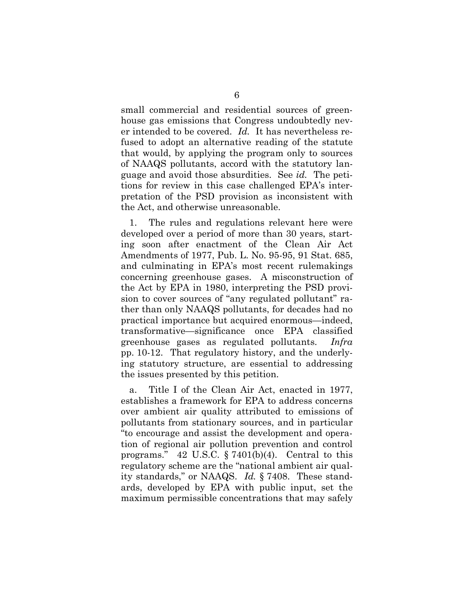small commercial and residential sources of greenhouse gas emissions that Congress undoubtedly never intended to be covered. *Id.* It has nevertheless refused to adopt an alternative reading of the statute that would, by applying the program only to sources of NAAQS pollutants, accord with the statutory language and avoid those absurdities. See *id.* The petitions for review in this case challenged EPA's interpretation of the PSD provision as inconsistent with the Act, and otherwise unreasonable.

1. The rules and regulations relevant here were developed over a period of more than 30 years, starting soon after enactment of the Clean Air Act Amendments of 1977, Pub. L. No. 95-95, 91 Stat. 685, and culminating in EPA's most recent rulemakings concerning greenhouse gases. A misconstruction of the Act by EPA in 1980, interpreting the PSD provision to cover sources of "any regulated pollutant" rather than only NAAQS pollutants, for decades had no practical importance but acquired enormous—indeed, transformative—significance once EPA classified greenhouse gases as regulated pollutants. *Infra* pp. 10-12. That regulatory history, and the underlying statutory structure, are essential to addressing the issues presented by this petition.

a. Title I of the Clean Air Act, enacted in 1977, establishes a framework for EPA to address concerns over ambient air quality attributed to emissions of pollutants from stationary sources, and in particular "to encourage and assist the development and operation of regional air pollution prevention and control programs." 42 U.S.C. § 7401(b)(4). Central to this regulatory scheme are the "national ambient air quality standards," or NAAQS. *Id.* § 7408. These standards, developed by EPA with public input, set the maximum permissible concentrations that may safely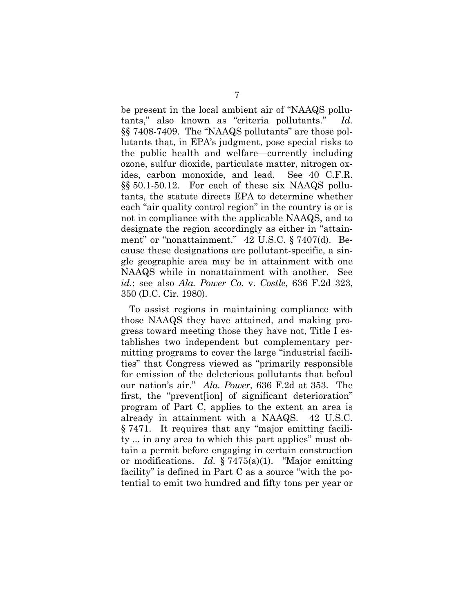be present in the local ambient air of "NAAQS pollutants," also known as "criteria pollutants." *Id.* §§ 7408-7409. The "NAAQS pollutants" are those pollutants that, in EPA's judgment, pose special risks to the public health and welfare—currently including ozone, sulfur dioxide, particulate matter, nitrogen oxides, carbon monoxide, and lead. See 40 C.F.R. §§ 50.1-50.12. For each of these six NAAQS pollutants, the statute directs EPA to determine whether each "air quality control region" in the country is or is not in compliance with the applicable NAAQS, and to designate the region accordingly as either in "attainment" or "nonattainment." 42 U.S.C. § 7407(d). Because these designations are pollutant-specific, a single geographic area may be in attainment with one NAAQS while in nonattainment with another. See *id.*; see also *Ala. Power Co.* v. *Costle*, 636 F.2d 323, 350 (D.C. Cir. 1980).

To assist regions in maintaining compliance with those NAAQS they have attained, and making progress toward meeting those they have not, Title I establishes two independent but complementary permitting programs to cover the large "industrial facilities" that Congress viewed as "primarily responsible for emission of the deleterious pollutants that befoul our nation's air." *Ala. Power*, 636 F.2d at 353. The first, the "prevent[ion] of significant deterioration" program of Part C, applies to the extent an area is already in attainment with a NAAQS. 42 U.S.C. § 7471. It requires that any "major emitting facility ... in any area to which this part applies" must obtain a permit before engaging in certain construction or modifications. *Id.* § 7475(a)(1). "Major emitting facility" is defined in Part C as a source "with the potential to emit two hundred and fifty tons per year or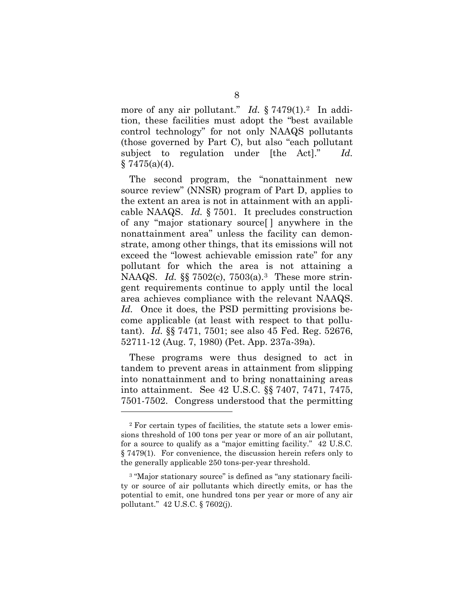more of any air pollutant." *Id.* § 7479(1).<sup>2</sup> In addition, these facilities must adopt the "best available control technology" for not only NAAQS pollutants (those governed by Part C), but also "each pollutant subject to regulation under [the Act]." *Id.*   $§ 7475(a)(4).$ 

The second program, the "nonattainment new source review" (NNSR) program of Part D, applies to the extent an area is not in attainment with an applicable NAAQS. *Id.* § 7501. It precludes construction of any "major stationary source[ ] anywhere in the nonattainment area" unless the facility can demonstrate, among other things, that its emissions will not exceed the "lowest achievable emission rate" for any pollutant for which the area is not attaining a NAAQS. *Id.* §§ 7502(c), 7503(a).[3](#page-20-1) These more stringent requirements continue to apply until the local area achieves compliance with the relevant NAAQS. *Id.* Once it does, the PSD permitting provisions become applicable (at least with respect to that pollutant). *Id.* §§ 7471, 7501; see also 45 Fed. Reg. 52676, 52711-12 (Aug. 7, 1980) (Pet. App. 237a-39a).

These programs were thus designed to act in tandem to prevent areas in attainment from slipping into nonattainment and to bring nonattaining areas into attainment. See 42 U.S.C. §§ 7407, 7471, 7475, 7501-7502. Congress understood that the permitting

<span id="page-20-0"></span><sup>2</sup> For certain types of facilities, the statute sets a lower emissions threshold of 100 tons per year or more of an air pollutant, for a source to qualify as a "major emitting facility." 42 U.S.C. § 7479(1). For convenience, the discussion herein refers only to the generally applicable 250 tons-per-year threshold.

<span id="page-20-1"></span><sup>&</sup>lt;sup>3</sup> "Major stationary source" is defined as "any stationary facility or source of air pollutants which directly emits, or has the potential to emit, one hundred tons per year or more of any air pollutant." 42 U.S.C. § 7602(j).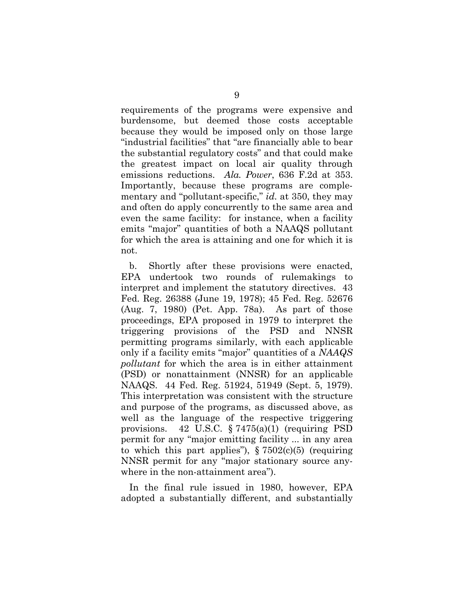requirements of the programs were expensive and burdensome, but deemed those costs acceptable because they would be imposed only on those large "industrial facilities" that "are financially able to bear the substantial regulatory costs" and that could make the greatest impact on local air quality through emissions reductions. *Ala. Power*, 636 F.2d at 353. Importantly, because these programs are complementary and "pollutant-specific," *id.* at 350, they may and often do apply concurrently to the same area and even the same facility: for instance, when a facility emits "major" quantities of both a NAAQS pollutant for which the area is attaining and one for which it is not.

b. Shortly after these provisions were enacted, EPA undertook two rounds of rulemakings to interpret and implement the statutory directives. 43 Fed. Reg. 26388 (June 19, 1978); 45 Fed. Reg. 52676 (Aug. 7, 1980) (Pet. App. 78a). As part of those proceedings, EPA proposed in 1979 to interpret the triggering provisions of the PSD and NNSR permitting programs similarly, with each applicable only if a facility emits "major" quantities of a *NAAQS pollutant* for which the area is in either attainment (PSD) or nonattainment (NNSR) for an applicable NAAQS. 44 Fed. Reg. 51924, 51949 (Sept. 5, 1979). This interpretation was consistent with the structure and purpose of the programs, as discussed above, as well as the language of the respective triggering provisions. 42 U.S.C. § 7475(a)(1) (requiring PSD permit for any "major emitting facility ... in any area to which this part applies"),  $\S 7502(c)(5)$  (requiring NNSR permit for any "major stationary source anywhere in the non-attainment area").

In the final rule issued in 1980, however, EPA adopted a substantially different, and substantially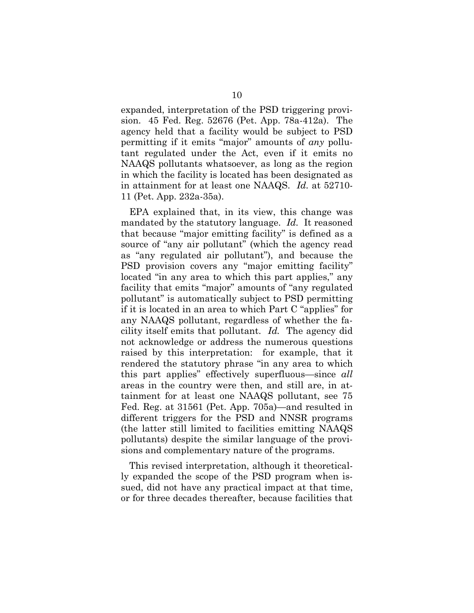expanded, interpretation of the PSD triggering provision. 45 Fed. Reg. 52676 (Pet. App. 78a-412a). The agency held that a facility would be subject to PSD permitting if it emits "major" amounts of *any* pollutant regulated under the Act, even if it emits no NAAQS pollutants whatsoever, as long as the region in which the facility is located has been designated as in attainment for at least one NAAQS. *Id.* at 52710- 11 (Pet. App. 232a-35a).

EPA explained that, in its view, this change was mandated by the statutory language. *Id.* It reasoned that because "major emitting facility" is defined as a source of "any air pollutant" (which the agency read as "any regulated air pollutant"), and because the PSD provision covers any "major emitting facility" located "in any area to which this part applies," any facility that emits "major" amounts of "any regulated pollutant" is automatically subject to PSD permitting if it is located in an area to which Part C "applies" for any NAAQS pollutant, regardless of whether the facility itself emits that pollutant. *Id.* The agency did not acknowledge or address the numerous questions raised by this interpretation: for example, that it rendered the statutory phrase "in any area to which this part applies" effectively superfluous—since *all* areas in the country were then, and still are, in attainment for at least one NAAQS pollutant, see 75 Fed. Reg. at 31561 (Pet. App. 705a)—and resulted in different triggers for the PSD and NNSR programs (the latter still limited to facilities emitting NAAQS pollutants) despite the similar language of the provisions and complementary nature of the programs.

This revised interpretation, although it theoretically expanded the scope of the PSD program when issued, did not have any practical impact at that time, or for three decades thereafter, because facilities that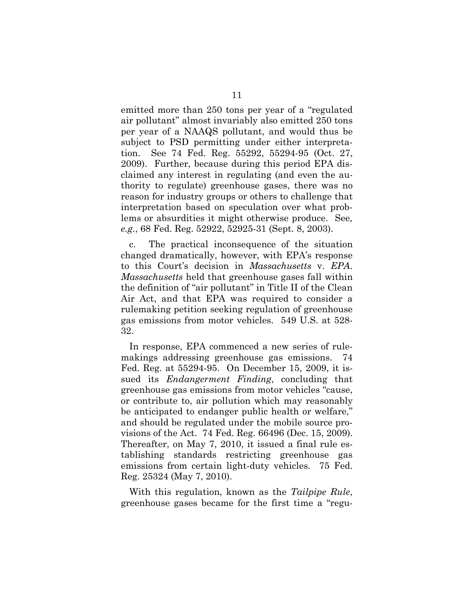emitted more than 250 tons per year of a "regulated air pollutant" almost invariably also emitted 250 tons per year of a NAAQS pollutant, and would thus be subject to PSD permitting under either interpretation. See 74 Fed. Reg. 55292, 55294-95 (Oct. 27, 2009). Further, because during this period EPA disclaimed any interest in regulating (and even the authority to regulate) greenhouse gases, there was no reason for industry groups or others to challenge that interpretation based on speculation over what problems or absurdities it might otherwise produce. See*, e.g.*, 68 Fed. Reg. 52922, 52925-31 (Sept. 8, 2003).

c. The practical inconsequence of the situation changed dramatically, however, with EPA's response to this Court's decision in *Massachusetts* v. *EPA*. *Massachusetts* held that greenhouse gases fall within the definition of "air pollutant" in Title II of the Clean Air Act, and that EPA was required to consider a rulemaking petition seeking regulation of greenhouse gas emissions from motor vehicles. 549 U.S. at 528- 32.

In response, EPA commenced a new series of rulemakings addressing greenhouse gas emissions. 74 Fed. Reg. at 55294-95. On December 15, 2009, it issued its *Endangerment Finding*, concluding that greenhouse gas emissions from motor vehicles "cause, or contribute to, air pollution which may reasonably be anticipated to endanger public health or welfare," and should be regulated under the mobile source provisions of the Act. 74 Fed. Reg. 66496 (Dec. 15, 2009). Thereafter, on May 7, 2010, it issued a final rule establishing standards restricting greenhouse gas emissions from certain light-duty vehicles. 75 Fed. Reg. 25324 (May 7, 2010).

With this regulation, known as the *Tailpipe Rule*, greenhouse gases became for the first time a "regu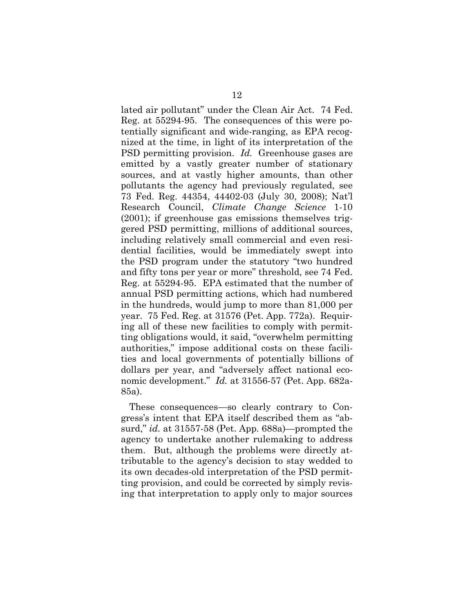lated air pollutant" under the Clean Air Act. 74 Fed. Reg. at 55294-95. The consequences of this were potentially significant and wide-ranging, as EPA recognized at the time, in light of its interpretation of the PSD permitting provision. *Id.* Greenhouse gases are emitted by a vastly greater number of stationary sources, and at vastly higher amounts, than other pollutants the agency had previously regulated, see 73 Fed. Reg. 44354, 44402-03 (July 30, 2008); Nat'l Research Council, *Climate Change Science* 1-10 (2001); if greenhouse gas emissions themselves triggered PSD permitting, millions of additional sources, including relatively small commercial and even residential facilities, would be immediately swept into the PSD program under the statutory "two hundred and fifty tons per year or more" threshold, see 74 Fed. Reg. at 55294-95. EPA estimated that the number of annual PSD permitting actions, which had numbered in the hundreds, would jump to more than 81,000 per year. 75 Fed. Reg. at 31576 (Pet. App. 772a). Requiring all of these new facilities to comply with permitting obligations would, it said, "overwhelm permitting authorities," impose additional costs on these facilities and local governments of potentially billions of dollars per year, and "adversely affect national economic development." *Id.* at 31556-57 (Pet. App. 682a-85a).

These consequences—so clearly contrary to Congress's intent that EPA itself described them as "absurd," *id.* at 31557-58 (Pet. App. 688a)—prompted the agency to undertake another rulemaking to address them. But, although the problems were directly attributable to the agency's decision to stay wedded to its own decades-old interpretation of the PSD permitting provision, and could be corrected by simply revising that interpretation to apply only to major sources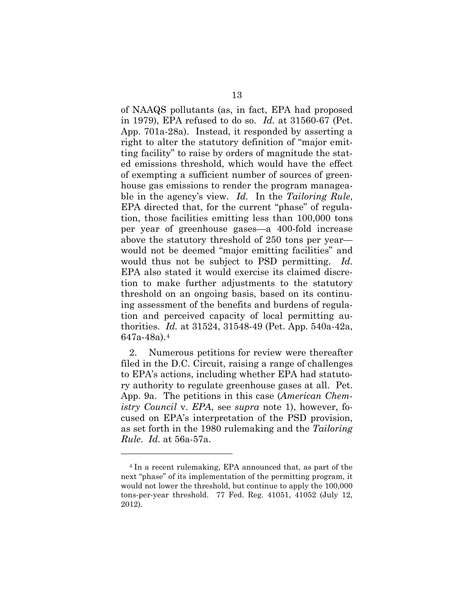of NAAQS pollutants (as, in fact, EPA had proposed in 1979), EPA refused to do so. *Id.* at 31560-67 (Pet. App. 701a-28a). Instead, it responded by asserting a right to alter the statutory definition of "major emitting facility" to raise by orders of magnitude the stated emissions threshold, which would have the effect of exempting a sufficient number of sources of greenhouse gas emissions to render the program manageable in the agency's view. *Id.* In the *Tailoring Rule*, EPA directed that, for the current "phase" of regulation, those facilities emitting less than 100,000 tons per year of greenhouse gases—a 400-fold increase above the statutory threshold of 250 tons per year would not be deemed "major emitting facilities" and would thus not be subject to PSD permitting. *Id.*  EPA also stated it would exercise its claimed discretion to make further adjustments to the statutory threshold on an ongoing basis, based on its continuing assessment of the benefits and burdens of regulation and perceived capacity of local permitting authorities. *Id.* at 31524, 31548-49 (Pet. App. 540a-42a, 647a-48a).[4](#page-25-0)

2. Numerous petitions for review were thereafter filed in the D.C. Circuit, raising a range of challenges to EPA's actions, including whether EPA had statutory authority to regulate greenhouse gases at all. Pet. App. 9a. The petitions in this case (*American Chemistry Council* v. *EPA*, see *supra* note 1), however, focused on EPA's interpretation of the PSD provision, as set forth in the 1980 rulemaking and the *Tailoring Rule*. *Id.* at 56a-57a.

<span id="page-25-0"></span><sup>4</sup> In a recent rulemaking, EPA announced that, as part of the next "phase" of its implementation of the permitting program, it would not lower the threshold, but continue to apply the 100,000 tons-per-year threshold. 77 Fed. Reg. 41051, 41052 (July 12, 2012).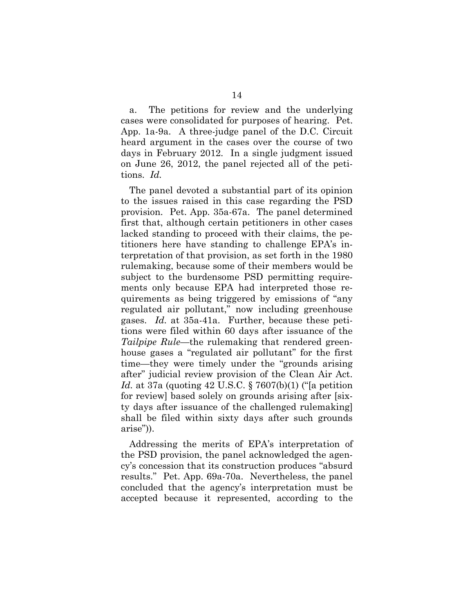a. The petitions for review and the underlying cases were consolidated for purposes of hearing. Pet. App. 1a-9a. A three-judge panel of the D.C. Circuit heard argument in the cases over the course of two days in February 2012. In a single judgment issued on June 26, 2012, the panel rejected all of the petitions. *Id.*

The panel devoted a substantial part of its opinion to the issues raised in this case regarding the PSD provision. Pet. App. 35a-67a. The panel determined first that, although certain petitioners in other cases lacked standing to proceed with their claims, the petitioners here have standing to challenge EPA's interpretation of that provision, as set forth in the 1980 rulemaking, because some of their members would be subject to the burdensome PSD permitting requirements only because EPA had interpreted those requirements as being triggered by emissions of "any regulated air pollutant," now including greenhouse gases. *Id.* at 35a-41a. Further, because these petitions were filed within 60 days after issuance of the *Tailpipe Rule*—the rulemaking that rendered greenhouse gases a "regulated air pollutant" for the first time—they were timely under the "grounds arising after" judicial review provision of the Clean Air Act. *Id.* at 37a (quoting 42 U.S.C. § 7607(b)(1) ("[a petition for review] based solely on grounds arising after [sixty days after issuance of the challenged rulemaking] shall be filed within sixty days after such grounds arise")).

Addressing the merits of EPA's interpretation of the PSD provision, the panel acknowledged the agency's concession that its construction produces "absurd results." Pet. App. 69a-70a. Nevertheless, the panel concluded that the agency's interpretation must be accepted because it represented, according to the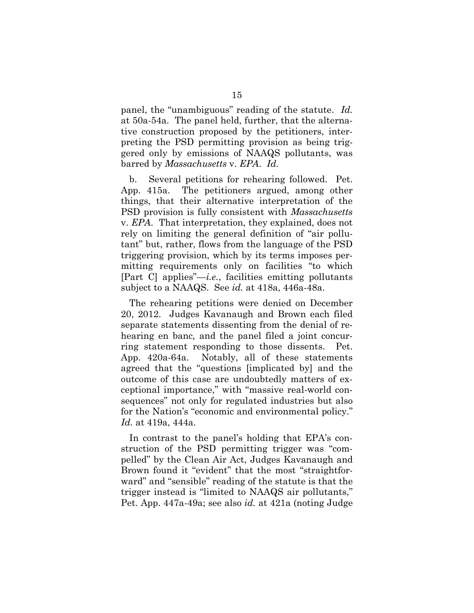panel, the "unambiguous" reading of the statute. *Id.* at 50a-54a. The panel held, further, that the alternative construction proposed by the petitioners, interpreting the PSD permitting provision as being triggered only by emissions of NAAQS pollutants, was barred by *Massachusetts* v. *EPA*. *Id.*

b. Several petitions for rehearing followed. Pet. App. 415a. The petitioners argued, among other things, that their alternative interpretation of the PSD provision is fully consistent with *Massachusetts* v. *EPA*. That interpretation, they explained, does not rely on limiting the general definition of "air pollutant" but, rather, flows from the language of the PSD triggering provision, which by its terms imposes permitting requirements only on facilities "to which [Part C] applies"—*i.e.*, facilities emitting pollutants subject to a NAAQS. See *id.* at 418a, 446a-48a.

The rehearing petitions were denied on December 20, 2012. Judges Kavanaugh and Brown each filed separate statements dissenting from the denial of rehearing en banc*,* and the panel filed a joint concurring statement responding to those dissents. Pet. App. 420a-64a. Notably, all of these statements agreed that the "questions [implicated by] and the outcome of this case are undoubtedly matters of exceptional importance," with "massive real-world consequences" not only for regulated industries but also for the Nation's "economic and environmental policy." *Id.* at 419a, 444a.

In contrast to the panel's holding that EPA's construction of the PSD permitting trigger was "compelled" by the Clean Air Act, Judges Kavanaugh and Brown found it "evident" that the most "straightforward" and "sensible" reading of the statute is that the trigger instead is "limited to NAAQS air pollutants," Pet. App. 447a-49a; see also *id.* at 421a (noting Judge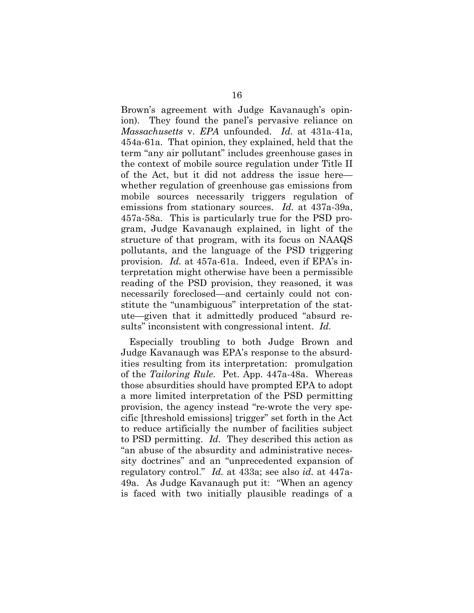Brown's agreement with Judge Kavanaugh's opinion). They found the panel's pervasive reliance on *Massachusetts* v. *EPA* unfounded. *Id.* at 431a-41a, 454a-61a. That opinion, they explained, held that the term "any air pollutant" includes greenhouse gases in the context of mobile source regulation under Title II of the Act, but it did not address the issue here whether regulation of greenhouse gas emissions from mobile sources necessarily triggers regulation of emissions from stationary sources. *Id.* at 437a-39a, 457a-58a. This is particularly true for the PSD program, Judge Kavanaugh explained, in light of the structure of that program, with its focus on NAAQS pollutants, and the language of the PSD triggering provision. *Id.* at 457a-61a. Indeed, even if EPA's interpretation might otherwise have been a permissible reading of the PSD provision, they reasoned, it was necessarily foreclosed—and certainly could not constitute the "unambiguous" interpretation of the statute—given that it admittedly produced "absurd results" inconsistent with congressional intent. *Id.*

Especially troubling to both Judge Brown and Judge Kavanaugh was EPA's response to the absurdities resulting from its interpretation: promulgation of the *Tailoring Rule*. Pet. App. 447a-48a. Whereas those absurdities should have prompted EPA to adopt a more limited interpretation of the PSD permitting provision, the agency instead "re-wrote the very specific [threshold emissions] trigger" set forth in the Act to reduce artificially the number of facilities subject to PSD permitting. *Id.* They described this action as "an abuse of the absurdity and administrative necessity doctrines" and an "unprecedented expansion of regulatory control." *Id.* at 433a; see also *id.* at 447a-49a. As Judge Kavanaugh put it: "When an agency is faced with two initially plausible readings of a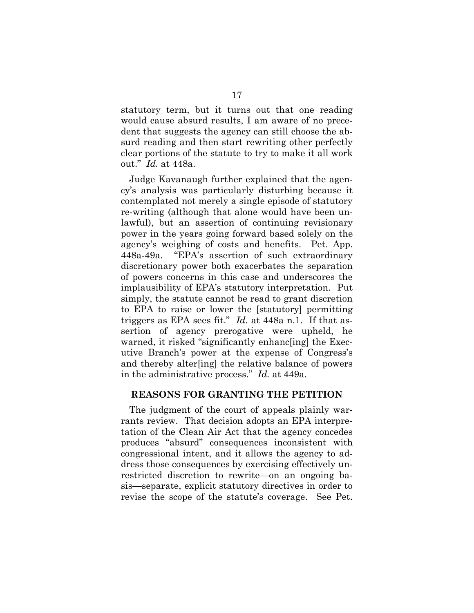statutory term, but it turns out that one reading would cause absurd results, I am aware of no precedent that suggests the agency can still choose the absurd reading and then start rewriting other perfectly clear portions of the statute to try to make it all work out." *Id.* at 448a.

Judge Kavanaugh further explained that the agency's analysis was particularly disturbing because it contemplated not merely a single episode of statutory re-writing (although that alone would have been unlawful), but an assertion of continuing revisionary power in the years going forward based solely on the agency's weighing of costs and benefits. Pet. App. 448a-49a. "EPA's assertion of such extraordinary discretionary power both exacerbates the separation of powers concerns in this case and underscores the implausibility of EPA's statutory interpretation. Put simply, the statute cannot be read to grant discretion to EPA to raise or lower the [statutory] permitting triggers as EPA sees fit." *Id.* at 448a n.1. If that assertion of agency prerogative were upheld, he warned, it risked "significantly enhanc[ing] the Executive Branch's power at the expense of Congress's and thereby alter[ing] the relative balance of powers in the administrative process." *Id.* at 449a.

#### **REASONS FOR GRANTING THE PETITION**

The judgment of the court of appeals plainly warrants review. That decision adopts an EPA interpretation of the Clean Air Act that the agency concedes produces "absurd" consequences inconsistent with congressional intent, and it allows the agency to address those consequences by exercising effectively unrestricted discretion to rewrite—on an ongoing basis—separate, explicit statutory directives in order to revise the scope of the statute's coverage. See Pet.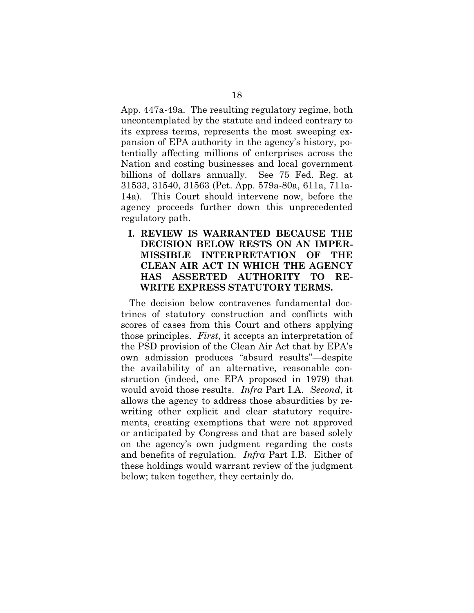App. 447a-49a. The resulting regulatory regime, both uncontemplated by the statute and indeed contrary to its express terms, represents the most sweeping expansion of EPA authority in the agency's history, potentially affecting millions of enterprises across the Nation and costing businesses and local government billions of dollars annually. See 75 Fed. Reg. at 31533, 31540, 31563 (Pet. App. 579a-80a, 611a, 711a-14a). This Court should intervene now, before the agency proceeds further down this unprecedented regulatory path.

**I. REVIEW IS WARRANTED BECAUSE THE DECISION BELOW RESTS ON AN IMPER-MISSIBLE INTERPRETATION OF THE CLEAN AIR ACT IN WHICH THE AGENCY HAS ASSERTED AUTHORITY TO RE-WRITE EXPRESS STATUTORY TERMS.**

The decision below contravenes fundamental doctrines of statutory construction and conflicts with scores of cases from this Court and others applying those principles. *First*, it accepts an interpretation of the PSD provision of the Clean Air Act that by EPA's own admission produces "absurd results"—despite the availability of an alternative, reasonable construction (indeed, one EPA proposed in 1979) that would avoid those results. *Infra* Part I.A. *Second*, it allows the agency to address those absurdities by rewriting other explicit and clear statutory requirements, creating exemptions that were not approved or anticipated by Congress and that are based solely on the agency's own judgment regarding the costs and benefits of regulation. *Infra* Part I.B. Either of these holdings would warrant review of the judgment below; taken together, they certainly do.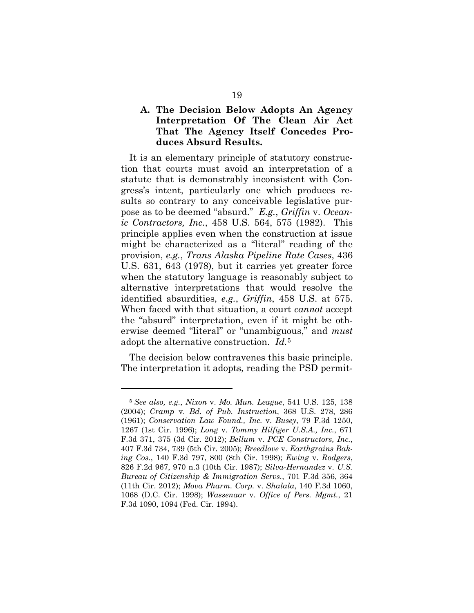### **A. The Decision Below Adopts An Agency Interpretation Of The Clean Air Act That The Agency Itself Concedes Produces Absurd Results.**

It is an elementary principle of statutory construction that courts must avoid an interpretation of a statute that is demonstrably inconsistent with Congress's intent, particularly one which produces results so contrary to any conceivable legislative purpose as to be deemed "absurd." *E.g.*, *Griffin* v. *Oceanic Contractors, Inc.*, 458 U.S. 564, 575 (1982). This principle applies even when the construction at issue might be characterized as a "literal" reading of the provision, *e.g.*, *Trans Alaska Pipeline Rate Cases*, 436 U.S. 631, 643 (1978), but it carries yet greater force when the statutory language is reasonably subject to alternative interpretations that would resolve the identified absurdities, *e.g.*, *Griffin*, 458 U.S. at 575. When faced with that situation, a court *cannot* accept the "absurd" interpretation, even if it might be otherwise deemed "literal" or "unambiguous," and *must*  adopt the alternative construction. *Id.*[5](#page-31-0)

The decision below contravenes this basic principle. The interpretation it adopts, reading the PSD permit-

<span id="page-31-0"></span><sup>5</sup> *See also, e.g.*, *Nixon* v. *Mo. Mun. League*, 541 U.S. 125, 138 (2004); *Cramp* v. *Bd. of Pub. Instruction*, 368 U.S. 278, 286 (1961); *Conservation Law Found., Inc.* v. *Busey*, 79 F.3d 1250, 1267 (1st Cir. 1996); *Long* v. *Tommy Hilfiger U.S.A., Inc.*, 671 F.3d 371, 375 (3d Cir. 2012); *Bellum* v. *PCE Constructors, Inc.*, 407 F.3d 734, 739 (5th Cir. 2005); *Breedlove* v. *Earthgrains Baking Cos.*, 140 F.3d 797, 800 (8th Cir. 1998); *Ewing* v. *Rodgers*, 826 F.2d 967, 970 n.3 (10th Cir. 1987); *Silva-Hernandez* v. *U.S. Bureau of Citizenship & Immigration Servs.*, 701 F.3d 356, 364 (11th Cir. 2012); *Mova Pharm. Corp.* v. *Shalala*, 140 F.3d 1060, 1068 (D.C. Cir. 1998); *Wassenaar* v. *Office of Pers. Mgmt.*, 21 F.3d 1090, 1094 (Fed. Cir. 1994).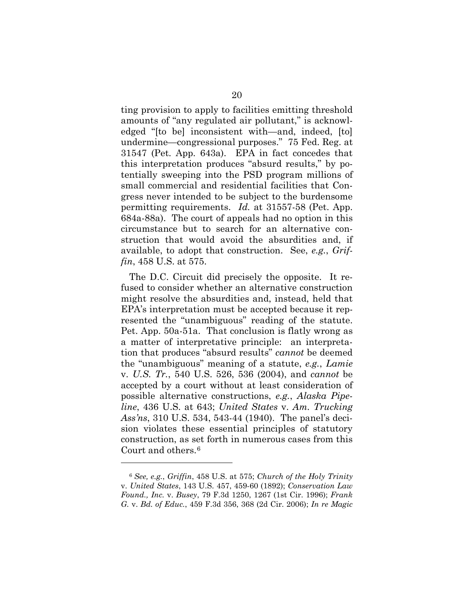ting provision to apply to facilities emitting threshold amounts of "any regulated air pollutant," is acknowledged "[to be] inconsistent with—and, indeed, [to] undermine—congressional purposes." 75 Fed. Reg. at 31547 (Pet. App. 643a). EPA in fact concedes that this interpretation produces "absurd results," by potentially sweeping into the PSD program millions of small commercial and residential facilities that Congress never intended to be subject to the burdensome permitting requirements. *Id.* at 31557-58 (Pet. App. 684a-88a). The court of appeals had no option in this circumstance but to search for an alternative construction that would avoid the absurdities and, if available, to adopt that construction. See, *e.g.*, *Griffin*, 458 U.S. at 575.

The D.C. Circuit did precisely the opposite. It refused to consider whether an alternative construction might resolve the absurdities and, instead, held that EPA's interpretation must be accepted because it represented the "unambiguous" reading of the statute. Pet. App. 50a-51a. That conclusion is flatly wrong as a matter of interpretative principle: an interpretation that produces "absurd results" *cannot* be deemed the "unambiguous" meaning of a statute, *e.g.*, *Lamie* v. *U.S. Tr.*, 540 U.S. 526, 536 (2004), and *cannot* be accepted by a court without at least consideration of possible alternative constructions, *e.g.*, *Alaska Pipeline*, 436 U.S. at 643; *United States* v. *Am. Trucking Ass'ns*, 310 U.S. 534, 543-44 (1940). The panel's decision violates these essential principles of statutory construction, as set forth in numerous cases from this Court and others.<sup>6</sup>

<span id="page-32-0"></span><sup>6</sup> *See, e.g.*, *Griffin*, 458 U.S. at 575; *Church of the Holy Trinity*  v. *United States*, 143 U.S. 457, 459-60 (1892); *Conservation Law Found., Inc.* v. *Busey*, 79 F.3d 1250, 1267 (1st Cir. 1996); *Frank G.* v. *Bd. of Educ.*, 459 F.3d 356, 368 (2d Cir. 2006); *In re Magic*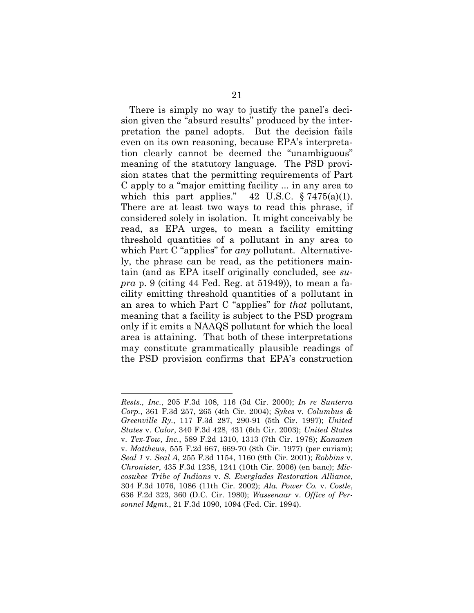There is simply no way to justify the panel's decision given the "absurd results" produced by the interpretation the panel adopts. But the decision fails even on its own reasoning, because EPA's interpretation clearly cannot be deemed the "unambiguous" meaning of the statutory language. The PSD provision states that the permitting requirements of Part C apply to a "major emitting facility ... in any area to which this part applies."  $42 \text{ U.S.C. } \S 7475(a)(1)$ . There are at least two ways to read this phrase, if considered solely in isolation. It might conceivably be read, as EPA urges, to mean a facility emitting threshold quantities of a pollutant in any area to which Part C "applies" for *any* pollutant. Alternatively, the phrase can be read, as the petitioners maintain (and as EPA itself originally concluded, see *supra* p. 9 (citing 44 Fed. Reg. at 51949)), to mean a facility emitting threshold quantities of a pollutant in an area to which Part C "applies" for *that* pollutant, meaning that a facility is subject to the PSD program only if it emits a NAAQS pollutant for which the local area is attaining. That both of these interpretations may constitute grammatically plausible readings of the PSD provision confirms that EPA's construction

*Rests., Inc.*, 205 F.3d 108, 116 (3d Cir. 2000); *In re Sunterra Corp.*, 361 F.3d 257, 265 (4th Cir. 2004); *Sykes* v. *Columbus & Greenville Ry.*, 117 F.3d 287, 290-91 (5th Cir. 1997); *United States* v. *Calor*, 340 F.3d 428, 431 (6th Cir. 2003); *United States* v. *Tex-Tow, Inc.*, 589 F.2d 1310, 1313 (7th Cir. 1978); *Kananen* v. *Matthews*, 555 F.2d 667, 669-70 (8th Cir. 1977) (per curiam); *Seal 1* v. *Seal A*, 255 F.3d 1154, 1160 (9th Cir. 2001); *Robbins* v. *Chronister*, 435 F.3d 1238, 1241 (10th Cir. 2006) (en banc); *Miccosukee Tribe of Indians* v. *S. Everglades Restoration Alliance*, 304 F.3d 1076, 1086 (11th Cir. 2002); *Ala. Power Co.* v. *Costle*, 636 F.2d 323, 360 (D.C. Cir. 1980); *Wassenaar* v. *Office of Personnel Mgmt.*, 21 F.3d 1090, 1094 (Fed. Cir. 1994).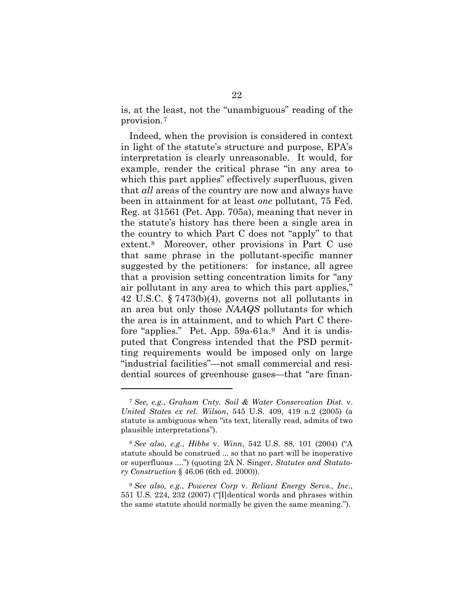is, at the least, not the "unambiguous" reading of the provision.[7](#page-34-0) 

Indeed, when the provision is considered in context in light of the statute's structure and purpose, EPA's interpretation is clearly unreasonable. It would, for example, render the critical phrase "in any area to which this part applies" effectively superfluous, given that *all* areas of the country are now and always have been in attainment for at least *one* pollutant, 75 Fed. Reg. at 31561 (Pet. App. 705a), meaning that never in the statute's history has there been a single area in the country to which Part C does not "apply" to that extent.[8](#page-34-1) Moreover, other provisions in Part C use that same phrase in the pollutant-specific manner suggested by the petitioners: for instance, all agree that a provision setting concentration limits for "any air pollutant in any area to which this part applies," 42 U.S.C. § 7473(b)(4), governs not all pollutants in an area but only those *NAAQS* pollutants for which the area is in attainment, and to which Part C therefore "applies." Pet. App. 59a-61a.[9](#page-34-2) And it is undisputed that Congress intended that the PSD permitting requirements would be imposed only on large "industrial facilities"—not small commercial and residential sources of greenhouse gases—that "are finan-

<span id="page-34-0"></span><sup>7</sup> *See, e.g.*, *Graham Cnty. Soil & Water Conservation Dist.* v. *United States ex rel. Wilson*, 545 U.S. 409, 419 n.2 (2005) (a statute is ambiguous when "its text, literally read, admits of two plausible interpretations").

<span id="page-34-1"></span><sup>8</sup> *See also, e.g.*, *Hibbs* v. *Winn*, 542 U.S. 88, 101 (2004) ("A statute should be construed ... so that no part will be inoperative or superfluous ....") (quoting 2A N. Singer, *Statutes and Statutory Construction* § 46.06 (6th ed. 2000)).

<span id="page-34-2"></span><sup>9</sup> *See also, e.g.*, *Powerex Corp* v. *Reliant Energy Servs., Inc.*, 551 U.S. 224, 232 (2007) ("[I]dentical words and phrases within the same statute should normally be given the same meaning.").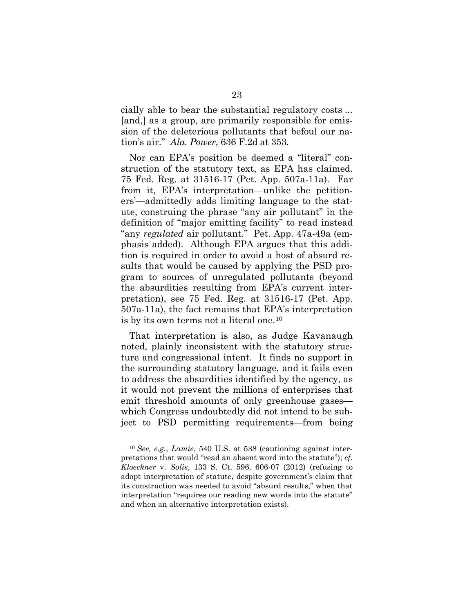cially able to bear the substantial regulatory costs ... [and,] as a group, are primarily responsible for emission of the deleterious pollutants that befoul our nation's air." *Ala. Power*, 636 F.2d at 353.

Nor can EPA's position be deemed a "literal" construction of the statutory text, as EPA has claimed. 75 Fed. Reg. at 31516-17 (Pet. App. 507a-11a). Far from it, EPA's interpretation—unlike the petitioners'—admittedly adds limiting language to the statute, construing the phrase "any air pollutant" in the definition of "major emitting facility" to read instead "any *regulated* air pollutant." Pet. App. 47a-49a (emphasis added). Although EPA argues that this addition is required in order to avoid a host of absurd results that would be caused by applying the PSD program to sources of unregulated pollutants (beyond the absurdities resulting from EPA's current interpretation), see 75 Fed. Reg. at 31516-17 (Pet. App. 507a-11a), the fact remains that EPA's interpretation is by its own terms not a literal one.[10](#page-35-0)

That interpretation is also, as Judge Kavanaugh noted, plainly inconsistent with the statutory structure and congressional intent. It finds no support in the surrounding statutory language, and it fails even to address the absurdities identified by the agency, as it would not prevent the millions of enterprises that emit threshold amounts of only greenhouse gases which Congress undoubtedly did not intend to be subject to PSD permitting requirements—from being

<span id="page-35-0"></span><sup>10</sup> *See, e.g.*, *Lamie*, 540 U.S. at 538 (cautioning against interpretations that would "read an absent word into the statute"); *cf. Kloeckner* v. *Solis*, 133 S. Ct. 596, 606-07 (2012) (refusing to adopt interpretation of statute, despite government's claim that its construction was needed to avoid "absurd results," when that interpretation "requires our reading new words into the statute" and when an alternative interpretation exists).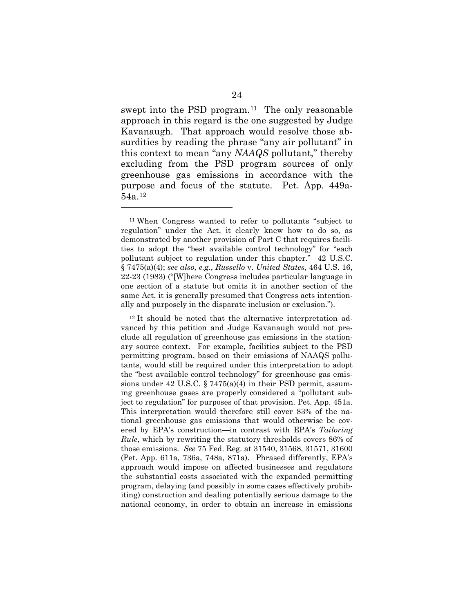swept into the PSD program.<sup>[11](#page-36-0)</sup> The only reasonable approach in this regard is the one suggested by Judge Kavanaugh. That approach would resolve those absurdities by reading the phrase "any air pollutant" in this context to mean "any *NAAQS* pollutant," thereby excluding from the PSD program sources of only greenhouse gas emissions in accordance with the purpose and focus of the statute. Pet. App. 449a-54a.[12](#page-36-1)

<span id="page-36-0"></span><sup>11</sup> When Congress wanted to refer to pollutants "subject to regulation" under the Act, it clearly knew how to do so, as demonstrated by another provision of Part C that requires facilities to adopt the "best available control technology" for "each pollutant subject to regulation under this chapter." 42 U.S.C. § 7475(a)(4); *see also, e.g.*, *Russello* v. *United States*, 464 U.S. 16, 22-23 (1983) ("[W]here Congress includes particular language in one section of a statute but omits it in another section of the same Act, it is generally presumed that Congress acts intentionally and purposely in the disparate inclusion or exclusion.").

<span id="page-36-1"></span><sup>&</sup>lt;sup>12</sup> It should be noted that the alternative interpretation advanced by this petition and Judge Kavanaugh would not preclude all regulation of greenhouse gas emissions in the stationary source context. For example, facilities subject to the PSD permitting program, based on their emissions of NAAQS pollutants, would still be required under this interpretation to adopt the "best available control technology" for greenhouse gas emissions under 42 U.S.C.  $\S 7475(a)(4)$  in their PSD permit, assuming greenhouse gases are properly considered a "pollutant subject to regulation" for purposes of that provision. Pet. App. 451a. This interpretation would therefore still cover 83% of the national greenhouse gas emissions that would otherwise be covered by EPA's construction—in contrast with EPA's *Tailoring Rule*, which by rewriting the statutory thresholds covers 86% of those emissions. *See* 75 Fed. Reg. at 31540, 31568, 31571, 31600 (Pet. App. 611a, 736a, 748a, 871a). Phrased differently, EPA's approach would impose on affected businesses and regulators the substantial costs associated with the expanded permitting program, delaying (and possibly in some cases effectively prohibiting) construction and dealing potentially serious damage to the national economy, in order to obtain an increase in emissions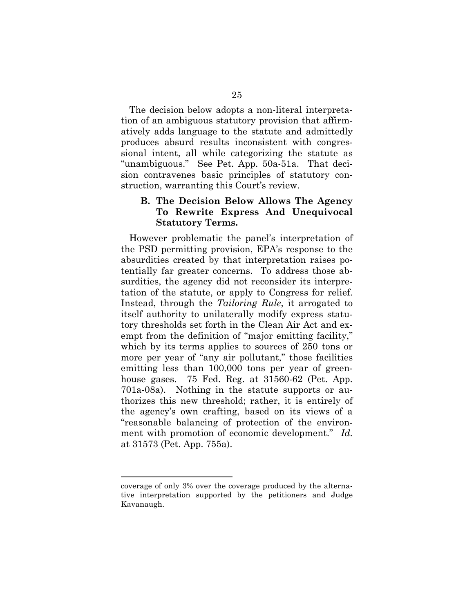The decision below adopts a non-literal interpretation of an ambiguous statutory provision that affirmatively adds language to the statute and admittedly produces absurd results inconsistent with congressional intent, all while categorizing the statute as "unambiguous." See Pet. App. 50a-51a. That decision contravenes basic principles of statutory construction, warranting this Court's review.

#### **B. The Decision Below Allows The Agency To Rewrite Express And Unequivocal Statutory Terms.**

However problematic the panel's interpretation of the PSD permitting provision, EPA's response to the absurdities created by that interpretation raises potentially far greater concerns. To address those absurdities, the agency did not reconsider its interpretation of the statute, or apply to Congress for relief. Instead, through the *Tailoring Rule*, it arrogated to itself authority to unilaterally modify express statutory thresholds set forth in the Clean Air Act and exempt from the definition of "major emitting facility," which by its terms applies to sources of 250 tons or more per year of "any air pollutant," those facilities emitting less than 100,000 tons per year of greenhouse gases. 75 Fed. Reg. at 31560-62 (Pet. App. 701a-08a). Nothing in the statute supports or authorizes this new threshold; rather, it is entirely of the agency's own crafting, based on its views of a "reasonable balancing of protection of the environment with promotion of economic development." *Id.* at 31573 (Pet. App. 755a).

coverage of only 3% over the coverage produced by the alternative interpretation supported by the petitioners and Judge Kavanaugh.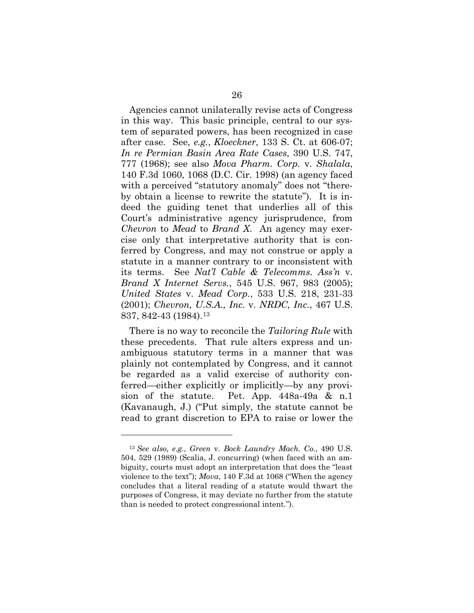Agencies cannot unilaterally revise acts of Congress in this way. This basic principle, central to our system of separated powers, has been recognized in case after case. See*, e.g.*, *Kloeckner*, 133 S. Ct. at 606-07; *In re Permian Basin Area Rate Cases*, 390 U.S. 747, 777 (1968); see also *Mova Pharm. Corp.* v. *Shalala*, 140 F.3d 1060, 1068 (D.C. Cir. 1998) (an agency faced with a perceived "statutory anomaly" does not "thereby obtain a license to rewrite the statute"). It is indeed the guiding tenet that underlies all of this Court's administrative agency jurisprudence, from *Chevron* to *Mead* to *Brand X*. An agency may exercise only that interpretative authority that is conferred by Congress, and may not construe or apply a statute in a manner contrary to or inconsistent with its terms. See *Nat'l Cable & Telecomms. Ass'n* v. *Brand X Internet Servs.*, 545 U.S. 967, 983 (2005); *United States* v. *Mead Corp.*, 533 U.S. 218, 231-33 (2001); *Chevron, U.S.A., Inc.* v. *NRDC, Inc.*, 467 U.S. 837, 842-43 (1984).[13](#page-38-0)

There is no way to reconcile the *Tailoring Rule* with these precedents. That rule alters express and unambiguous statutory terms in a manner that was plainly not contemplated by Congress, and it cannot be regarded as a valid exercise of authority conferred—either explicitly or implicitly—by any provision of the statute. Pet. App. 448a-49a & n.1 (Kavanaugh, J.) ("Put simply, the statute cannot be read to grant discretion to EPA to raise or lower the

<span id="page-38-0"></span><sup>13</sup> *See also, e.g.*, *Green* v. *Bock Laundry Mach. Co.*, 490 U.S. 504, 529 (1989) (Scalia, J. concurring) (when faced with an ambiguity, courts must adopt an interpretation that does the "least violence to the text"); *Mova*, 140 F.3d at 1068 ("When the agency concludes that a literal reading of a statute would thwart the purposes of Congress, it may deviate no further from the statute than is needed to protect congressional intent.").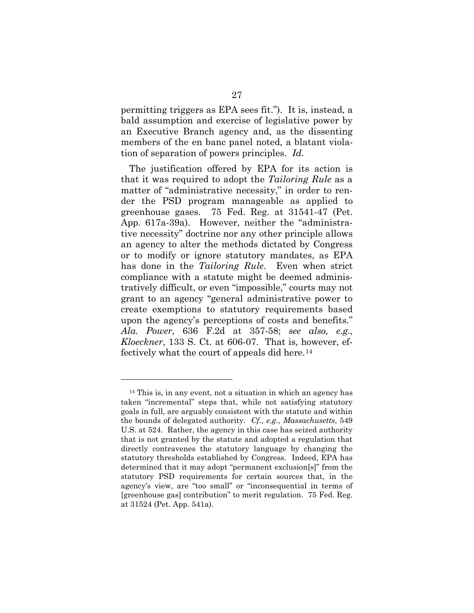permitting triggers as EPA sees fit."). It is, instead, a bald assumption and exercise of legislative power by an Executive Branch agency and, as the dissenting members of the en banc panel noted, a blatant violation of separation of powers principles. *Id.*

The justification offered by EPA for its action is that it was required to adopt the *Tailoring Rule* as a matter of "administrative necessity," in order to render the PSD program manageable as applied to greenhouse gases. 75 Fed. Reg. at 31541-47 (Pet. App. 617a-39a). However, neither the "administrative necessity" doctrine nor any other principle allows an agency to alter the methods dictated by Congress or to modify or ignore statutory mandates, as EPA has done in the *Tailoring Rule*. Even when strict compliance with a statute might be deemed administratively difficult, or even "impossible," courts may not grant to an agency "general administrative power to create exemptions to statutory requirements based upon the agency's perceptions of costs and benefits." *Ala. Power*, 636 F.2d at 357-58; *see also, e.g.*, *Kloeckner*, 133 S. Ct. at 606-07. That is, however, effectively what the court of appeals did here.[14](#page-39-0)

<span id="page-39-0"></span><sup>14</sup> This is, in any event, not a situation in which an agency has taken "incremental" steps that, while not satisfying statutory goals in full, are arguably consistent with the statute and within the bounds of delegated authority. *Cf., e.g.*, *Massachusetts*, 549 U.S. at 524. Rather, the agency in this case has seized authority that is not granted by the statute and adopted a regulation that directly contravenes the statutory language by changing the statutory thresholds established by Congress. Indeed, EPA has determined that it may adopt "permanent exclusion[s]" from the statutory PSD requirements for certain sources that, in the agency's view, are "too small" or "inconsequential in terms of [greenhouse gas] contribution" to merit regulation. 75 Fed. Reg. at 31524 (Pet. App. 541a).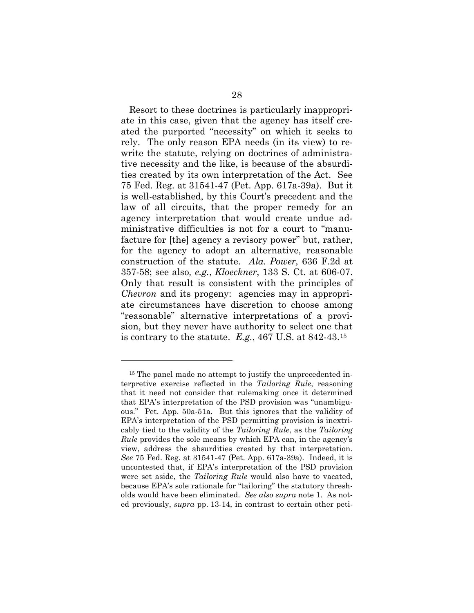Resort to these doctrines is particularly inappropriate in this case, given that the agency has itself created the purported "necessity" on which it seeks to rely. The only reason EPA needs (in its view) to rewrite the statute, relying on doctrines of administrative necessity and the like, is because of the absurdities created by its own interpretation of the Act. See 75 Fed. Reg. at 31541-47 (Pet. App. 617a-39a). But it is well-established, by this Court's precedent and the law of all circuits, that the proper remedy for an agency interpretation that would create undue administrative difficulties is not for a court to "manufacture for [the] agency a revisory power" but, rather, for the agency to adopt an alternative, reasonable construction of the statute. *Ala. Power*, 636 F.2d at 357-58; see also*, e.g.*, *Kloeckner*, 133 S. Ct. at 606-07. Only that result is consistent with the principles of *Chevron* and its progeny: agencies may in appropriate circumstances have discretion to choose among "reasonable" alternative interpretations of a provision, but they never have authority to select one that is contrary to the statute. *E.g.*, 467 U.S. at 842-43.[15](#page-40-0)

<span id="page-40-0"></span><sup>&</sup>lt;sup>15</sup> The panel made no attempt to justify the unprecedented interpretive exercise reflected in the *Tailoring Rule*, reasoning that it need not consider that rulemaking once it determined that EPA's interpretation of the PSD provision was "unambiguous." Pet. App. 50a-51a. But this ignores that the validity of EPA's interpretation of the PSD permitting provision is inextricably tied to the validity of the *Tailoring Rule*, as the *Tailoring Rule* provides the sole means by which EPA can, in the agency's view, address the absurdities created by that interpretation. *See* 75 Fed. Reg. at 31541-47 (Pet. App. 617a-39a). Indeed, it is uncontested that, if EPA's interpretation of the PSD provision were set aside, the *Tailoring Rule* would also have to vacated, because EPA's sole rationale for "tailoring" the statutory thresholds would have been eliminated. *See also supra* note 1. As noted previously, *supra* pp. 13-14, in contrast to certain other peti-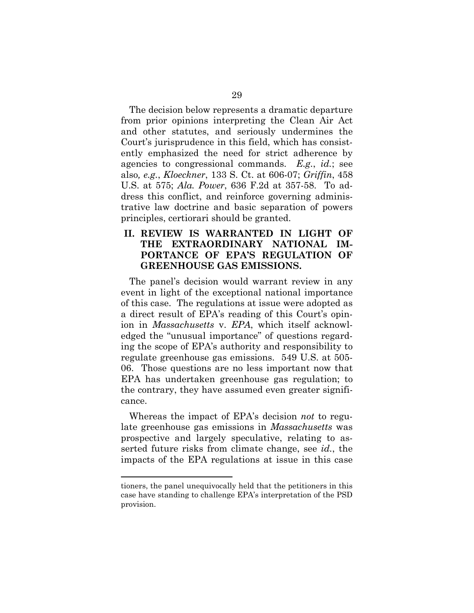The decision below represents a dramatic departure from prior opinions interpreting the Clean Air Act and other statutes, and seriously undermines the Court's jurisprudence in this field, which has consistently emphasized the need for strict adherence by agencies to congressional commands. *E.g.*, *id.*; see also*, e.g.*, *Kloeckner*, 133 S. Ct. at 606-07; *Griffin*, 458 U.S. at 575; *Ala. Power*, 636 F.2d at 357-58. To address this conflict, and reinforce governing administrative law doctrine and basic separation of powers principles, certiorari should be granted.

#### **II. REVIEW IS WARRANTED IN LIGHT OF THE EXTRAORDINARY NATIONAL IM-PORTANCE OF EPA'S REGULATION OF GREENHOUSE GAS EMISSIONS.**

The panel's decision would warrant review in any event in light of the exceptional national importance of this case. The regulations at issue were adopted as a direct result of EPA's reading of this Court's opinion in *Massachusetts* v. *EPA*, which itself acknowledged the "unusual importance" of questions regarding the scope of EPA's authority and responsibility to regulate greenhouse gas emissions. 549 U.S. at 505- 06. Those questions are no less important now that EPA has undertaken greenhouse gas regulation; to the contrary, they have assumed even greater significance.

Whereas the impact of EPA's decision *not* to regulate greenhouse gas emissions in *Massachusetts* was prospective and largely speculative, relating to asserted future risks from climate change, see *id.*, the impacts of the EPA regulations at issue in this case

tioners, the panel unequivocally held that the petitioners in this case have standing to challenge EPA's interpretation of the PSD provision.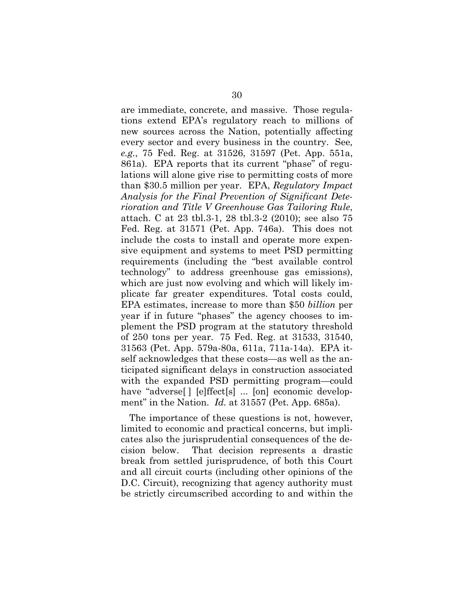are immediate, concrete, and massive. Those regulations extend EPA's regulatory reach to millions of new sources across the Nation, potentially affecting every sector and every business in the country. See*, e.g.*, 75 Fed. Reg. at 31526, 31597 (Pet. App. 551a, 861a). EPA reports that its current "phase" of regulations will alone give rise to permitting costs of more than \$30.5 million per year. EPA, *Regulatory Impact Analysis for the Final Prevention of Significant Deterioration and Title V Greenhouse Gas Tailoring Rule*, attach. C at 23 tbl.3-1, 28 tbl.3-2 (2010); see also 75 Fed. Reg. at 31571 (Pet. App. 746a). This does not include the costs to install and operate more expensive equipment and systems to meet PSD permitting requirements (including the "best available control technology" to address greenhouse gas emissions), which are just now evolving and which will likely implicate far greater expenditures. Total costs could, EPA estimates, increase to more than \$50 *billion* per year if in future "phases" the agency chooses to implement the PSD program at the statutory threshold of 250 tons per year. 75 Fed. Reg. at 31533, 31540, 31563 (Pet. App. 579a-80a, 611a, 711a-14a). EPA itself acknowledges that these costs—as well as the anticipated significant delays in construction associated with the expanded PSD permitting program—could have "adverse[] [e]ffect[s] ... [on] economic development" in the Nation. *Id.* at 31557 (Pet. App. 685a).

The importance of these questions is not, however, limited to economic and practical concerns, but implicates also the jurisprudential consequences of the decision below. That decision represents a drastic break from settled jurisprudence, of both this Court and all circuit courts (including other opinions of the D.C. Circuit), recognizing that agency authority must be strictly circumscribed according to and within the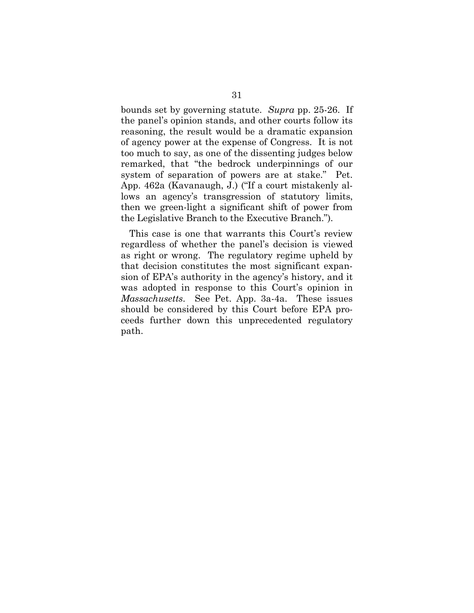bounds set by governing statute. *Supra* pp. 25-26. If the panel's opinion stands, and other courts follow its reasoning, the result would be a dramatic expansion of agency power at the expense of Congress. It is not too much to say, as one of the dissenting judges below remarked, that "the bedrock underpinnings of our system of separation of powers are at stake." Pet. App. 462a (Kavanaugh, J.) ("If a court mistakenly allows an agency's transgression of statutory limits, then we green-light a significant shift of power from the Legislative Branch to the Executive Branch.").

This case is one that warrants this Court's review regardless of whether the panel's decision is viewed as right or wrong. The regulatory regime upheld by that decision constitutes the most significant expansion of EPA's authority in the agency's history, and it was adopted in response to this Court's opinion in *Massachusetts*. See Pet. App. 3a-4a. These issues should be considered by this Court before EPA proceeds further down this unprecedented regulatory path.